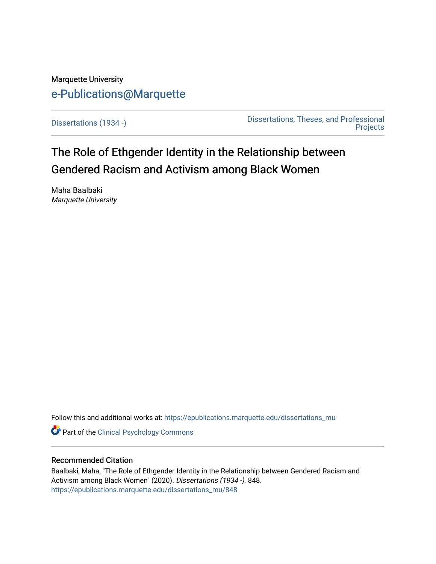# Marquette University [e-Publications@Marquette](https://epublications.marquette.edu/)

[Dissertations \(1934 -\)](https://epublications.marquette.edu/dissertations_mu) [Dissertations, Theses, and Professional](https://epublications.marquette.edu/diss_theses)  **Projects** 

The Role of Ethgender Identity in the Relationship between Gendered Racism and Activism among Black Women

Maha Baalbaki Marquette University

Follow this and additional works at: [https://epublications.marquette.edu/dissertations\\_mu](https://epublications.marquette.edu/dissertations_mu?utm_source=epublications.marquette.edu%2Fdissertations_mu%2F848&utm_medium=PDF&utm_campaign=PDFCoverPages)

Part of the [Clinical Psychology Commons](http://network.bepress.com/hgg/discipline/406?utm_source=epublications.marquette.edu%2Fdissertations_mu%2F848&utm_medium=PDF&utm_campaign=PDFCoverPages) 

### Recommended Citation

Baalbaki, Maha, "The Role of Ethgender Identity in the Relationship between Gendered Racism and Activism among Black Women" (2020). Dissertations (1934 -). 848. [https://epublications.marquette.edu/dissertations\\_mu/848](https://epublications.marquette.edu/dissertations_mu/848?utm_source=epublications.marquette.edu%2Fdissertations_mu%2F848&utm_medium=PDF&utm_campaign=PDFCoverPages)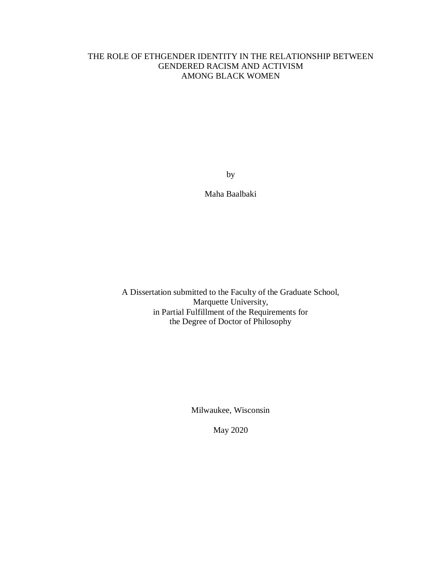## THE ROLE OF ETHGENDER IDENTITY IN THE RELATIONSHIP BETWEEN GENDERED RACISM AND ACTIVISM AMONG BLACK WOMEN

by

Maha Baalbaki

A Dissertation submitted to the Faculty of the Graduate School, Marquette University, in Partial Fulfillment of the Requirements for the Degree of Doctor of Philosophy

Milwaukee, Wisconsin

May 2020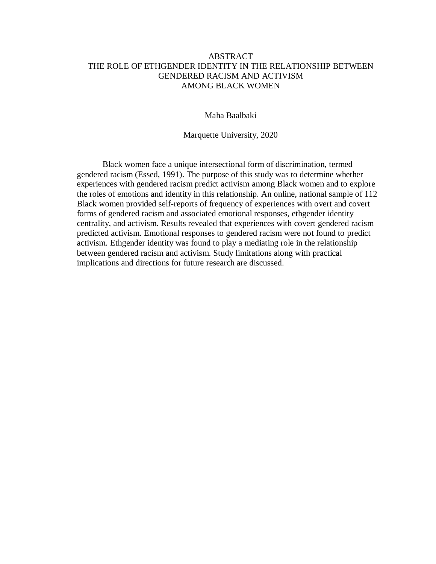### ABSTRACT THE ROLE OF ETHGENDER IDENTITY IN THE RELATIONSHIP BETWEEN GENDERED RACISM AND ACTIVISM AMONG BLACK WOMEN

Maha Baalbaki

Marquette University, 2020

Black women face a unique intersectional form of discrimination, termed gendered racism (Essed, 1991). The purpose of this study was to determine whether experiences with gendered racism predict activism among Black women and to explore the roles of emotions and identity in this relationship. An online, national sample of 112 Black women provided self-reports of frequency of experiences with overt and covert forms of gendered racism and associated emotional responses, ethgender identity centrality, and activism. Results revealed that experiences with covert gendered racism predicted activism. Emotional responses to gendered racism were not found to predict activism. Ethgender identity was found to play a mediating role in the relationship between gendered racism and activism. Study limitations along with practical implications and directions for future research are discussed.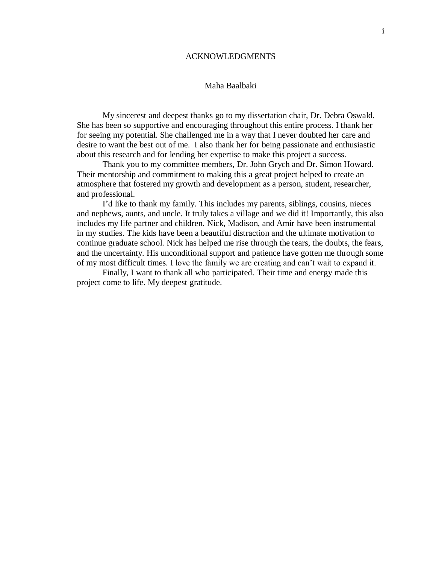#### ACKNOWLEDGMENTS

### Maha Baalbaki

My sincerest and deepest thanks go to my dissertation chair, Dr. Debra Oswald. She has been so supportive and encouraging throughout this entire process. I thank her for seeing my potential. She challenged me in a way that I never doubted her care and desire to want the best out of me. I also thank her for being passionate and enthusiastic about this research and for lending her expertise to make this project a success.

Thank you to my committee members, Dr. John Grych and Dr. Simon Howard. Their mentorship and commitment to making this a great project helped to create an atmosphere that fostered my growth and development as a person, student, researcher, and professional.

I'd like to thank my family. This includes my parents, siblings, cousins, nieces and nephews, aunts, and uncle. It truly takes a village and we did it! Importantly, this also includes my life partner and children. Nick, Madison, and Amir have been instrumental in my studies. The kids have been a beautiful distraction and the ultimate motivation to continue graduate school. Nick has helped me rise through the tears, the doubts, the fears, and the uncertainty. His unconditional support and patience have gotten me through some of my most difficult times. I love the family we are creating and can't wait to expand it.

Finally, I want to thank all who participated. Their time and energy made this project come to life. My deepest gratitude.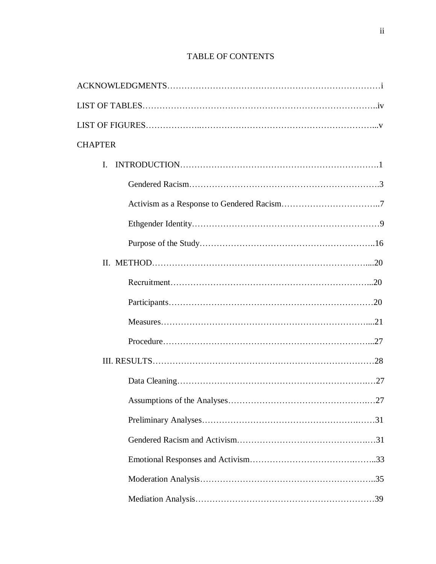## TABLE OF CONTENTS

| <b>CHAPTER</b> |
|----------------|
| $\mathbf{I}$ . |
|                |
|                |
|                |
|                |
|                |
|                |
|                |
|                |
|                |
|                |
|                |
|                |
|                |
|                |
|                |
|                |
|                |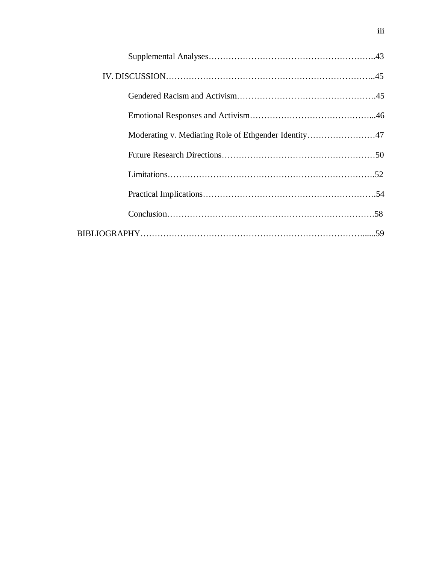| Moderating v. Mediating Role of Ethgender Identity47 |  |
|------------------------------------------------------|--|
|                                                      |  |
|                                                      |  |
|                                                      |  |
|                                                      |  |
|                                                      |  |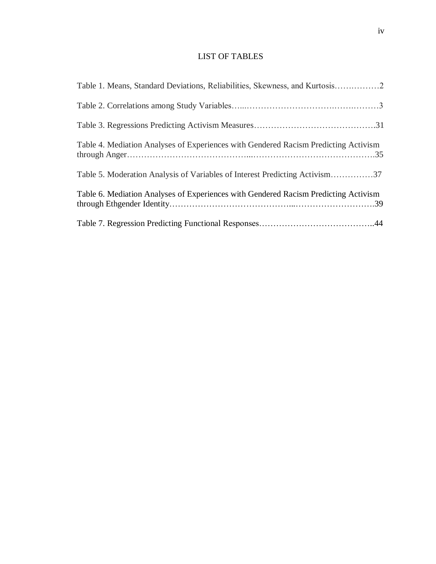## LIST OF TABLES

| Table 1. Means, Standard Deviations, Reliabilities, Skewness, and Kurtosis2         |
|-------------------------------------------------------------------------------------|
|                                                                                     |
|                                                                                     |
| Table 4. Mediation Analyses of Experiences with Gendered Racism Predicting Activism |
| Table 5. Moderation Analysis of Variables of Interest Predicting Activism37         |
| Table 6. Mediation Analyses of Experiences with Gendered Racism Predicting Activism |
|                                                                                     |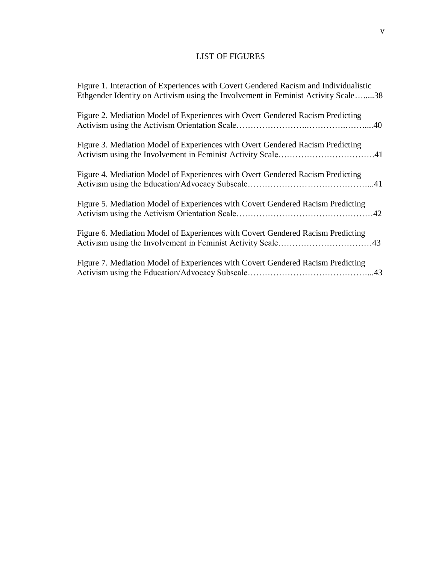## LIST OF FIGURES

| Figure 1. Interaction of Experiences with Covert Gendered Racism and Individualistic<br>Ethgender Identity on Activism using the Involvement in Feminist Activity Scale38 |
|---------------------------------------------------------------------------------------------------------------------------------------------------------------------------|
| Figure 2. Mediation Model of Experiences with Overt Gendered Racism Predicting                                                                                            |
| Figure 3. Mediation Model of Experiences with Overt Gendered Racism Predicting                                                                                            |
| Figure 4. Mediation Model of Experiences with Overt Gendered Racism Predicting                                                                                            |
| Figure 5. Mediation Model of Experiences with Covert Gendered Racism Predicting                                                                                           |
| Figure 6. Mediation Model of Experiences with Covert Gendered Racism Predicting                                                                                           |
| Figure 7. Mediation Model of Experiences with Covert Gendered Racism Predicting                                                                                           |
|                                                                                                                                                                           |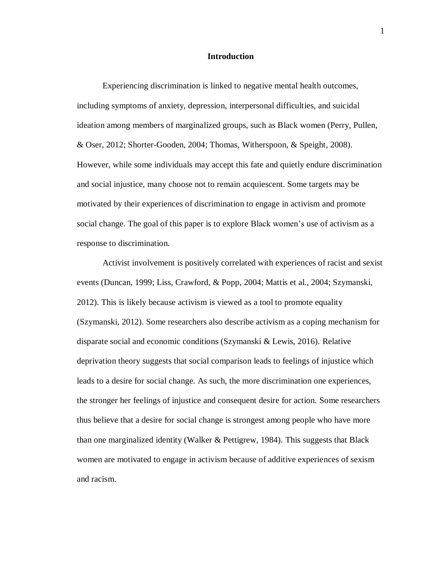#### **Introduction**

Experiencing discrimination is linked to negative mental health outcomes, including symptoms of anxiety, depression, interpersonal difficulties, and suicidal ideation among members of marginalized groups, such as Black women (Perry, Pullen, & Oser, 2012; Shorter-Gooden, 2004; Thomas, Witherspoon, & Speight, 2008). However, while some individuals may accept this fate and quietly endure discrimination and social injustice, many choose not to remain acquiescent. Some targets may be motivated by their experiences of discrimination to engage in activism and promote social change. The goal of this paper is to explore Black women's use of activism as a response to discrimination.

Activist involvement is positively correlated with experiences of racist and sexist events (Duncan, 1999; Liss, Crawford, & Popp, 2004; Mattis et al., 2004; Szymanski, 2012). This is likely because activism is viewed as a tool to promote equality (Szymanski, 2012). Some researchers also describe activism as a coping mechanism for disparate social and economic conditions (Szymanski & Lewis, 2016). Relative deprivation theory suggests that social comparison leads to feelings of injustice which leads to a desire for social change. As such, the more discrimination one experiences, the stronger her feelings of injustice and consequent desire for action. Some researchers thus believe that a desire for social change is strongest among people who have more than one marginalized identity (Walker & Pettigrew, 1984). This suggests that Black women are motivated to engage in activism because of additive experiences of sexism and racism.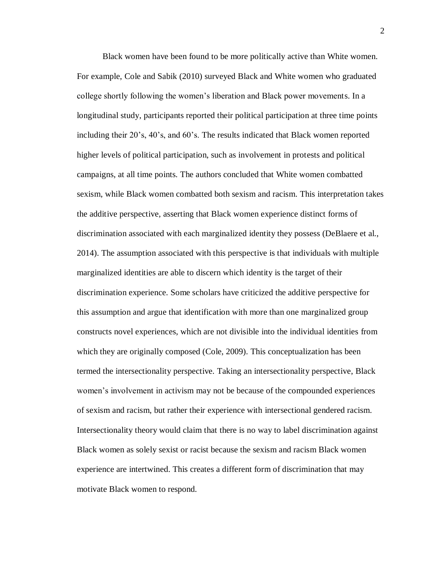Black women have been found to be more politically active than White women. For example, Cole and Sabik (2010) surveyed Black and White women who graduated college shortly following the women's liberation and Black power movements. In a longitudinal study, participants reported their political participation at three time points including their 20's, 40's, and 60's. The results indicated that Black women reported higher levels of political participation, such as involvement in protests and political campaigns, at all time points. The authors concluded that White women combatted sexism, while Black women combatted both sexism and racism. This interpretation takes the additive perspective, asserting that Black women experience distinct forms of discrimination associated with each marginalized identity they possess (DeBlaere et al., 2014). The assumption associated with this perspective is that individuals with multiple marginalized identities are able to discern which identity is the target of their discrimination experience. Some scholars have criticized the additive perspective for this assumption and argue that identification with more than one marginalized group constructs novel experiences, which are not divisible into the individual identities from which they are originally composed (Cole, 2009). This conceptualization has been termed the intersectionality perspective. Taking an intersectionality perspective, Black women's involvement in activism may not be because of the compounded experiences of sexism and racism, but rather their experience with intersectional gendered racism. Intersectionality theory would claim that there is no way to label discrimination against Black women as solely sexist or racist because the sexism and racism Black women experience are intertwined. This creates a different form of discrimination that may motivate Black women to respond.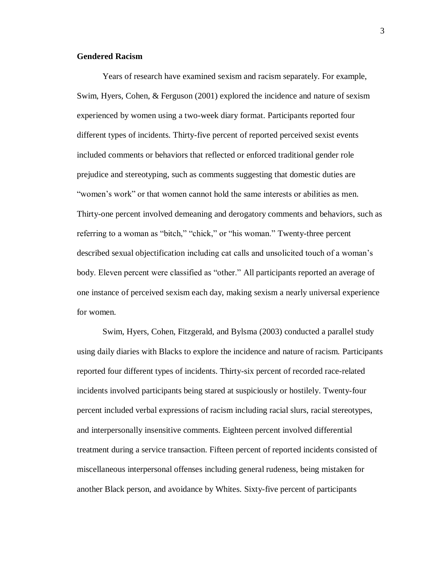#### **Gendered Racism**

Years of research have examined sexism and racism separately. For example, Swim, Hyers, Cohen, & Ferguson (2001) explored the incidence and nature of sexism experienced by women using a two-week diary format. Participants reported four different types of incidents. Thirty-five percent of reported perceived sexist events included comments or behaviors that reflected or enforced traditional gender role prejudice and stereotyping, such as comments suggesting that domestic duties are "women's work" or that women cannot hold the same interests or abilities as men. Thirty-one percent involved demeaning and derogatory comments and behaviors, such as referring to a woman as "bitch," "chick," or "his woman." Twenty-three percent described sexual objectification including cat calls and unsolicited touch of a woman's body. Eleven percent were classified as "other." All participants reported an average of one instance of perceived sexism each day, making sexism a nearly universal experience for women.

Swim, Hyers, Cohen, Fitzgerald, and Bylsma (2003) conducted a parallel study using daily diaries with Blacks to explore the incidence and nature of racism. Participants reported four different types of incidents. Thirty-six percent of recorded race-related incidents involved participants being stared at suspiciously or hostilely. Twenty-four percent included verbal expressions of racism including racial slurs, racial stereotypes, and interpersonally insensitive comments. Eighteen percent involved differential treatment during a service transaction. Fifteen percent of reported incidents consisted of miscellaneous interpersonal offenses including general rudeness, being mistaken for another Black person, and avoidance by Whites. Sixty-five percent of participants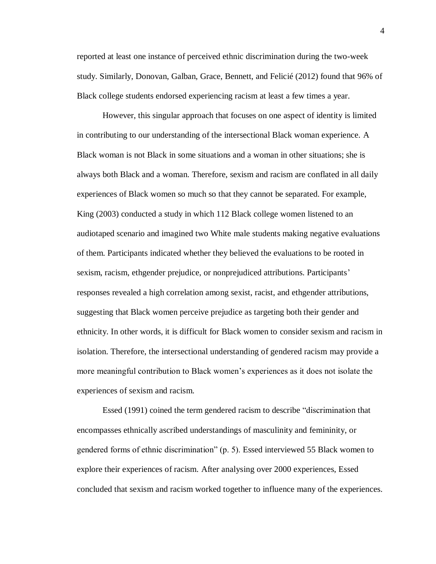reported at least one instance of perceived ethnic discrimination during the two-week study. Similarly, Donovan, Galban, Grace, Bennett, and Felicié (2012) found that 96% of Black college students endorsed experiencing racism at least a few times a year.

However, this singular approach that focuses on one aspect of identity is limited in contributing to our understanding of the intersectional Black woman experience. A Black woman is not Black in some situations and a woman in other situations; she is always both Black and a woman. Therefore, sexism and racism are conflated in all daily experiences of Black women so much so that they cannot be separated. For example, King (2003) conducted a study in which 112 Black college women listened to an audiotaped scenario and imagined two White male students making negative evaluations of them. Participants indicated whether they believed the evaluations to be rooted in sexism, racism, ethgender prejudice, or nonprejudiced attributions. Participants' responses revealed a high correlation among sexist, racist, and ethgender attributions, suggesting that Black women perceive prejudice as targeting both their gender and ethnicity. In other words, it is difficult for Black women to consider sexism and racism in isolation. Therefore, the intersectional understanding of gendered racism may provide a more meaningful contribution to Black women's experiences as it does not isolate the experiences of sexism and racism.

Essed (1991) coined the term gendered racism to describe "discrimination that encompasses ethnically ascribed understandings of masculinity and femininity, or gendered forms of ethnic discrimination" (p. 5). Essed interviewed 55 Black women to explore their experiences of racism. After analysing over 2000 experiences, Essed concluded that sexism and racism worked together to influence many of the experiences.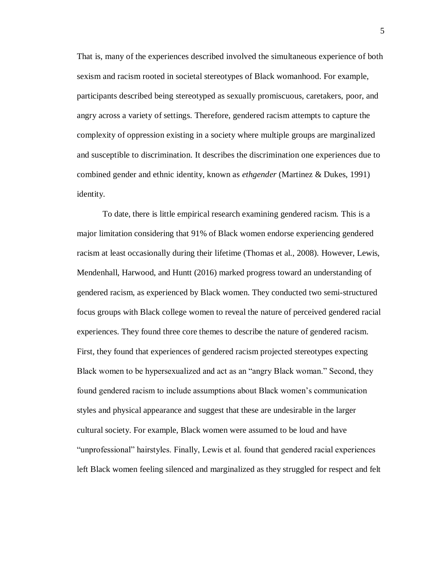That is, many of the experiences described involved the simultaneous experience of both sexism and racism rooted in societal stereotypes of Black womanhood. For example, participants described being stereotyped as sexually promiscuous, caretakers, poor, and angry across a variety of settings. Therefore, gendered racism attempts to capture the complexity of oppression existing in a society where multiple groups are marginalized and susceptible to discrimination. It describes the discrimination one experiences due to combined gender and ethnic identity, known as *ethgender* (Martinez & Dukes, 1991) identity.

To date, there is little empirical research examining gendered racism. This is a major limitation considering that 91% of Black women endorse experiencing gendered racism at least occasionally during their lifetime (Thomas et al., 2008). However, Lewis, Mendenhall, Harwood, and Huntt (2016) marked progress toward an understanding of gendered racism, as experienced by Black women. They conducted two semi-structured focus groups with Black college women to reveal the nature of perceived gendered racial experiences. They found three core themes to describe the nature of gendered racism. First, they found that experiences of gendered racism projected stereotypes expecting Black women to be hypersexualized and act as an "angry Black woman." Second, they found gendered racism to include assumptions about Black women's communication styles and physical appearance and suggest that these are undesirable in the larger cultural society. For example, Black women were assumed to be loud and have "unprofessional" hairstyles. Finally, Lewis et al. found that gendered racial experiences left Black women feeling silenced and marginalized as they struggled for respect and felt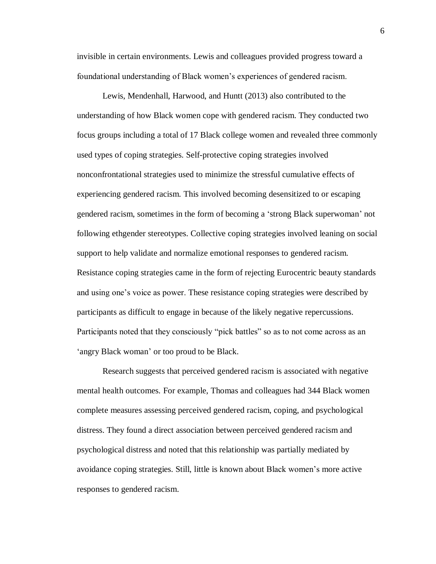invisible in certain environments. Lewis and colleagues provided progress toward a foundational understanding of Black women's experiences of gendered racism.

Lewis, Mendenhall, Harwood, and Huntt (2013) also contributed to the understanding of how Black women cope with gendered racism. They conducted two focus groups including a total of 17 Black college women and revealed three commonly used types of coping strategies. Self-protective coping strategies involved nonconfrontational strategies used to minimize the stressful cumulative effects of experiencing gendered racism. This involved becoming desensitized to or escaping gendered racism, sometimes in the form of becoming a 'strong Black superwoman' not following ethgender stereotypes. Collective coping strategies involved leaning on social support to help validate and normalize emotional responses to gendered racism. Resistance coping strategies came in the form of rejecting Eurocentric beauty standards and using one's voice as power. These resistance coping strategies were described by participants as difficult to engage in because of the likely negative repercussions. Participants noted that they consciously "pick battles" so as to not come across as an 'angry Black woman' or too proud to be Black.

Research suggests that perceived gendered racism is associated with negative mental health outcomes. For example, Thomas and colleagues had 344 Black women complete measures assessing perceived gendered racism, coping, and psychological distress. They found a direct association between perceived gendered racism and psychological distress and noted that this relationship was partially mediated by avoidance coping strategies. Still, little is known about Black women's more active responses to gendered racism.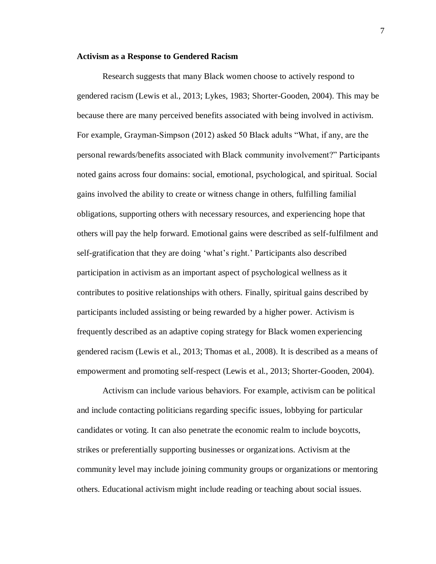#### **Activism as a Response to Gendered Racism**

Research suggests that many Black women choose to actively respond to gendered racism (Lewis et al., 2013; Lykes, 1983; Shorter-Gooden, 2004). This may be because there are many perceived benefits associated with being involved in activism. For example, Grayman-Simpson (2012) asked 50 Black adults "What, if any, are the personal rewards/benefits associated with Black community involvement?" Participants noted gains across four domains: social, emotional, psychological, and spiritual. Social gains involved the ability to create or witness change in others, fulfilling familial obligations, supporting others with necessary resources, and experiencing hope that others will pay the help forward. Emotional gains were described as self-fulfilment and self-gratification that they are doing 'what's right.' Participants also described participation in activism as an important aspect of psychological wellness as it contributes to positive relationships with others. Finally, spiritual gains described by participants included assisting or being rewarded by a higher power. Activism is frequently described as an adaptive coping strategy for Black women experiencing gendered racism (Lewis et al., 2013; Thomas et al., 2008). It is described as a means of empowerment and promoting self-respect (Lewis et al., 2013; Shorter-Gooden, 2004).

Activism can include various behaviors. For example, activism can be political and include contacting politicians regarding specific issues, lobbying for particular candidates or voting. It can also penetrate the economic realm to include boycotts, strikes or preferentially supporting businesses or organizations. Activism at the community level may include joining community groups or organizations or mentoring others. Educational activism might include reading or teaching about social issues.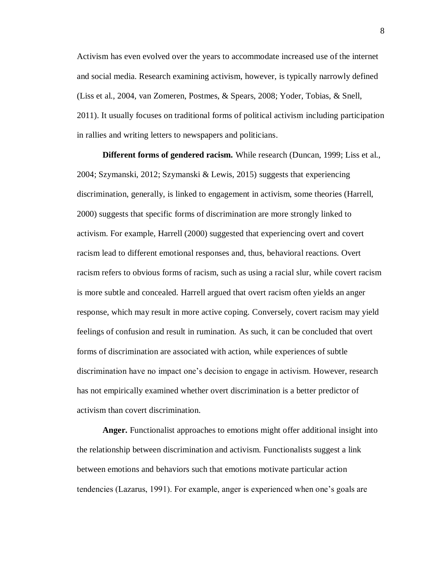Activism has even evolved over the years to accommodate increased use of the internet and social media. Research examining activism, however, is typically narrowly defined (Liss et al., 2004, van Zomeren, Postmes, & Spears, 2008; Yoder, Tobias, & Snell, 2011). It usually focuses on traditional forms of political activism including participation in rallies and writing letters to newspapers and politicians.

**Different forms of gendered racism.** While research (Duncan, 1999; Liss et al., 2004; Szymanski, 2012; Szymanski & Lewis, 2015) suggests that experiencing discrimination, generally, is linked to engagement in activism, some theories (Harrell, 2000) suggests that specific forms of discrimination are more strongly linked to activism. For example, Harrell (2000) suggested that experiencing overt and covert racism lead to different emotional responses and, thus, behavioral reactions. Overt racism refers to obvious forms of racism, such as using a racial slur, while covert racism is more subtle and concealed. Harrell argued that overt racism often yields an anger response, which may result in more active coping. Conversely, covert racism may yield feelings of confusion and result in rumination. As such, it can be concluded that overt forms of discrimination are associated with action, while experiences of subtle discrimination have no impact one's decision to engage in activism. However, research has not empirically examined whether overt discrimination is a better predictor of activism than covert discrimination.

**Anger.** Functionalist approaches to emotions might offer additional insight into the relationship between discrimination and activism. Functionalists suggest a link between emotions and behaviors such that emotions motivate particular action tendencies (Lazarus, 1991). For example, anger is experienced when one's goals are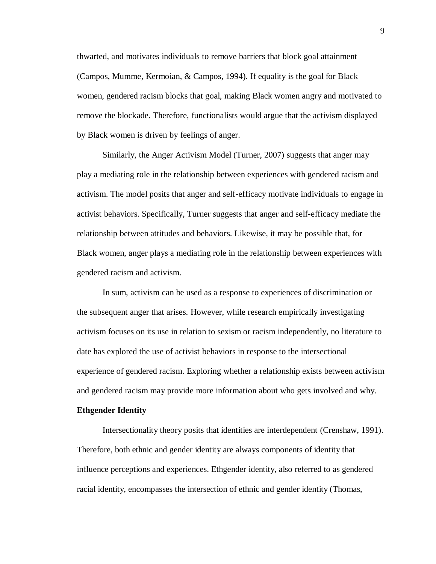thwarted, and motivates individuals to remove barriers that block goal attainment (Campos, Mumme, Kermoian, & Campos, 1994). If equality is the goal for Black women, gendered racism blocks that goal, making Black women angry and motivated to remove the blockade. Therefore, functionalists would argue that the activism displayed by Black women is driven by feelings of anger.

Similarly, the Anger Activism Model (Turner, 2007) suggests that anger may play a mediating role in the relationship between experiences with gendered racism and activism. The model posits that anger and self-efficacy motivate individuals to engage in activist behaviors. Specifically, Turner suggests that anger and self-efficacy mediate the relationship between attitudes and behaviors. Likewise, it may be possible that, for Black women, anger plays a mediating role in the relationship between experiences with gendered racism and activism.

In sum, activism can be used as a response to experiences of discrimination or the subsequent anger that arises. However, while research empirically investigating activism focuses on its use in relation to sexism or racism independently, no literature to date has explored the use of activist behaviors in response to the intersectional experience of gendered racism. Exploring whether a relationship exists between activism and gendered racism may provide more information about who gets involved and why.

#### **Ethgender Identity**

Intersectionality theory posits that identities are interdependent (Crenshaw, 1991). Therefore, both ethnic and gender identity are always components of identity that influence perceptions and experiences. Ethgender identity, also referred to as gendered racial identity, encompasses the intersection of ethnic and gender identity (Thomas,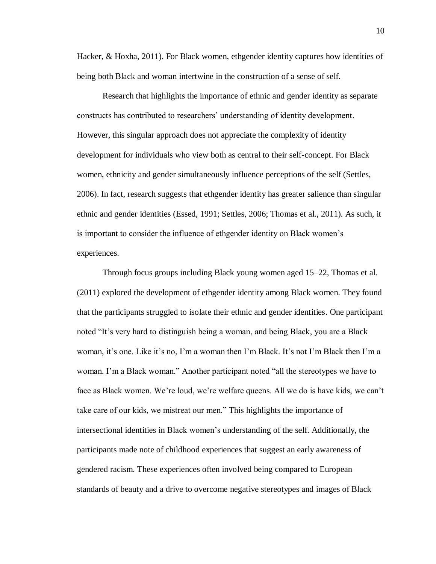Hacker, & Hoxha, 2011). For Black women, ethgender identity captures how identities of being both Black and woman intertwine in the construction of a sense of self.

Research that highlights the importance of ethnic and gender identity as separate constructs has contributed to researchers' understanding of identity development. However, this singular approach does not appreciate the complexity of identity development for individuals who view both as central to their self-concept. For Black women, ethnicity and gender simultaneously influence perceptions of the self (Settles, 2006). In fact, research suggests that ethgender identity has greater salience than singular ethnic and gender identities (Essed, 1991; Settles, 2006; Thomas et al., 2011). As such, it is important to consider the influence of ethgender identity on Black women's experiences.

Through focus groups including Black young women aged 15–22, Thomas et al. (2011) explored the development of ethgender identity among Black women. They found that the participants struggled to isolate their ethnic and gender identities. One participant noted "It's very hard to distinguish being a woman, and being Black, you are a Black woman, it's one. Like it's no, I'm a woman then I'm Black. It's not I'm Black then I'm a woman. I'm a Black woman." Another participant noted "all the stereotypes we have to face as Black women. We're loud, we're welfare queens. All we do is have kids, we can't take care of our kids, we mistreat our men." This highlights the importance of intersectional identities in Black women's understanding of the self. Additionally, the participants made note of childhood experiences that suggest an early awareness of gendered racism. These experiences often involved being compared to European standards of beauty and a drive to overcome negative stereotypes and images of Black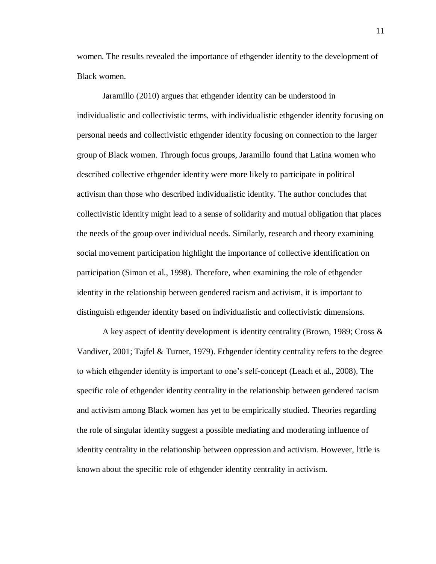women. The results revealed the importance of ethgender identity to the development of Black women.

Jaramillo (2010) argues that ethgender identity can be understood in individualistic and collectivistic terms, with individualistic ethgender identity focusing on personal needs and collectivistic ethgender identity focusing on connection to the larger group of Black women. Through focus groups, Jaramillo found that Latina women who described collective ethgender identity were more likely to participate in political activism than those who described individualistic identity. The author concludes that collectivistic identity might lead to a sense of solidarity and mutual obligation that places the needs of the group over individual needs. Similarly, research and theory examining social movement participation highlight the importance of collective identification on participation (Simon et al., 1998). Therefore, when examining the role of ethgender identity in the relationship between gendered racism and activism, it is important to distinguish ethgender identity based on individualistic and collectivistic dimensions.

A key aspect of identity development is identity centrality (Brown, 1989; Cross & Vandiver, 2001; Tajfel & Turner, 1979). Ethgender identity centrality refers to the degree to which ethgender identity is important to one's self-concept (Leach et al., 2008). The specific role of ethgender identity centrality in the relationship between gendered racism and activism among Black women has yet to be empirically studied. Theories regarding the role of singular identity suggest a possible mediating and moderating influence of identity centrality in the relationship between oppression and activism. However, little is known about the specific role of ethgender identity centrality in activism.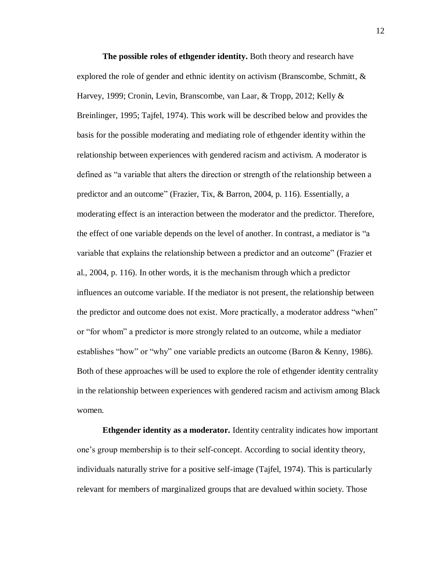**The possible roles of ethgender identity.** Both theory and research have explored the role of gender and ethnic identity on activism (Branscombe, Schmitt, & Harvey, 1999; Cronin, Levin, Branscombe, van Laar, & Tropp, 2012; Kelly & Breinlinger, 1995; Tajfel, 1974). This work will be described below and provides the basis for the possible moderating and mediating role of ethgender identity within the relationship between experiences with gendered racism and activism. A moderator is defined as "a variable that alters the direction or strength of the relationship between a predictor and an outcome" (Frazier, Tix, & Barron, 2004, p. 116). Essentially, a moderating effect is an interaction between the moderator and the predictor. Therefore, the effect of one variable depends on the level of another. In contrast, a mediator is "a variable that explains the relationship between a predictor and an outcome" (Frazier et al., 2004, p. 116). In other words, it is the mechanism through which a predictor influences an outcome variable. If the mediator is not present, the relationship between the predictor and outcome does not exist. More practically, a moderator address "when" or "for whom" a predictor is more strongly related to an outcome, while a mediator establishes "how" or "why" one variable predicts an outcome (Baron & Kenny, 1986). Both of these approaches will be used to explore the role of ethgender identity centrality in the relationship between experiences with gendered racism and activism among Black women.

**Ethgender identity as a moderator.** Identity centrality indicates how important one's group membership is to their self-concept. According to social identity theory, individuals naturally strive for a positive self-image (Tajfel, 1974). This is particularly relevant for members of marginalized groups that are devalued within society. Those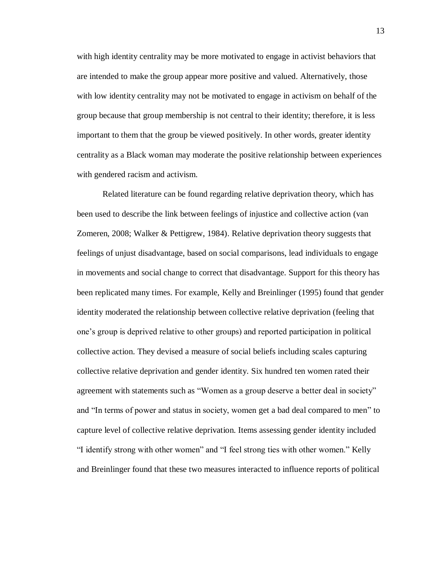with high identity centrality may be more motivated to engage in activist behaviors that are intended to make the group appear more positive and valued. Alternatively, those with low identity centrality may not be motivated to engage in activism on behalf of the group because that group membership is not central to their identity; therefore, it is less important to them that the group be viewed positively. In other words, greater identity centrality as a Black woman may moderate the positive relationship between experiences with gendered racism and activism.

Related literature can be found regarding relative deprivation theory, which has been used to describe the link between feelings of injustice and collective action (van Zomeren, 2008; Walker & Pettigrew, 1984). Relative deprivation theory suggests that feelings of unjust disadvantage, based on social comparisons, lead individuals to engage in movements and social change to correct that disadvantage. Support for this theory has been replicated many times. For example, Kelly and Breinlinger (1995) found that gender identity moderated the relationship between collective relative deprivation (feeling that one's group is deprived relative to other groups) and reported participation in political collective action. They devised a measure of social beliefs including scales capturing collective relative deprivation and gender identity. Six hundred ten women rated their agreement with statements such as "Women as a group deserve a better deal in society" and "In terms of power and status in society, women get a bad deal compared to men" to capture level of collective relative deprivation. Items assessing gender identity included "I identify strong with other women" and "I feel strong ties with other women." Kelly and Breinlinger found that these two measures interacted to influence reports of political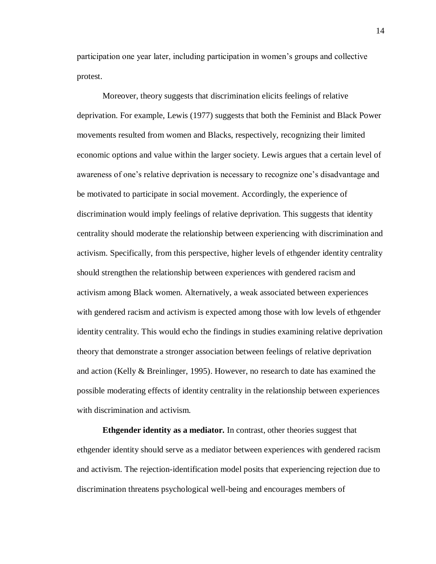participation one year later, including participation in women's groups and collective protest.

Moreover, theory suggests that discrimination elicits feelings of relative deprivation. For example, Lewis (1977) suggests that both the Feminist and Black Power movements resulted from women and Blacks, respectively, recognizing their limited economic options and value within the larger society. Lewis argues that a certain level of awareness of one's relative deprivation is necessary to recognize one's disadvantage and be motivated to participate in social movement. Accordingly, the experience of discrimination would imply feelings of relative deprivation. This suggests that identity centrality should moderate the relationship between experiencing with discrimination and activism. Specifically, from this perspective, higher levels of ethgender identity centrality should strengthen the relationship between experiences with gendered racism and activism among Black women. Alternatively, a weak associated between experiences with gendered racism and activism is expected among those with low levels of ethgender identity centrality. This would echo the findings in studies examining relative deprivation theory that demonstrate a stronger association between feelings of relative deprivation and action (Kelly & Breinlinger, 1995). However, no research to date has examined the possible moderating effects of identity centrality in the relationship between experiences with discrimination and activism.

**Ethgender identity as a mediator.** In contrast, other theories suggest that ethgender identity should serve as a mediator between experiences with gendered racism and activism. The rejection-identification model posits that experiencing rejection due to discrimination threatens psychological well-being and encourages members of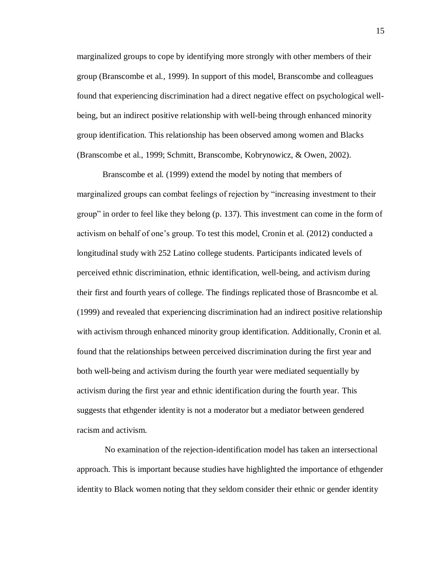marginalized groups to cope by identifying more strongly with other members of their group (Branscombe et al., 1999). In support of this model, Branscombe and colleagues found that experiencing discrimination had a direct negative effect on psychological wellbeing, but an indirect positive relationship with well-being through enhanced minority group identification. This relationship has been observed among women and Blacks (Branscombe et al., 1999; Schmitt, Branscombe, Kobrynowicz, & Owen, 2002).

Branscombe et al. (1999) extend the model by noting that members of marginalized groups can combat feelings of rejection by "increasing investment to their group" in order to feel like they belong (p. 137). This investment can come in the form of activism on behalf of one's group. To test this model, Cronin et al. (2012) conducted a longitudinal study with 252 Latino college students. Participants indicated levels of perceived ethnic discrimination, ethnic identification, well-being, and activism during their first and fourth years of college. The findings replicated those of Brasncombe et al. (1999) and revealed that experiencing discrimination had an indirect positive relationship with activism through enhanced minority group identification. Additionally, Cronin et al. found that the relationships between perceived discrimination during the first year and both well-being and activism during the fourth year were mediated sequentially by activism during the first year and ethnic identification during the fourth year. This suggests that ethgender identity is not a moderator but a mediator between gendered racism and activism.

No examination of the rejection-identification model has taken an intersectional approach. This is important because studies have highlighted the importance of ethgender identity to Black women noting that they seldom consider their ethnic or gender identity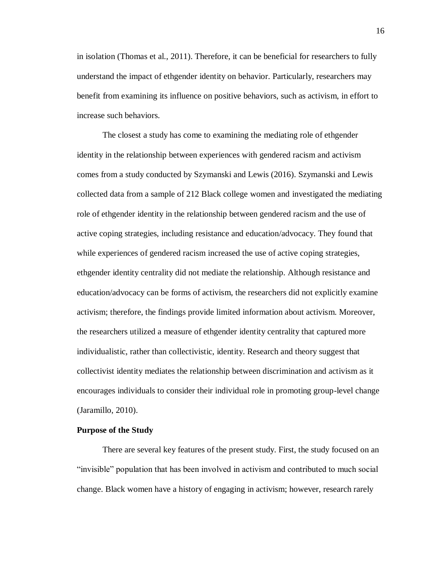in isolation (Thomas et al., 2011). Therefore, it can be beneficial for researchers to fully understand the impact of ethgender identity on behavior. Particularly, researchers may benefit from examining its influence on positive behaviors, such as activism, in effort to increase such behaviors.

The closest a study has come to examining the mediating role of ethgender identity in the relationship between experiences with gendered racism and activism comes from a study conducted by Szymanski and Lewis (2016). Szymanski and Lewis collected data from a sample of 212 Black college women and investigated the mediating role of ethgender identity in the relationship between gendered racism and the use of active coping strategies, including resistance and education/advocacy. They found that while experiences of gendered racism increased the use of active coping strategies, ethgender identity centrality did not mediate the relationship. Although resistance and education/advocacy can be forms of activism, the researchers did not explicitly examine activism; therefore, the findings provide limited information about activism. Moreover, the researchers utilized a measure of ethgender identity centrality that captured more individualistic, rather than collectivistic, identity. Research and theory suggest that collectivist identity mediates the relationship between discrimination and activism as it encourages individuals to consider their individual role in promoting group-level change (Jaramillo, 2010).

#### **Purpose of the Study**

There are several key features of the present study. First, the study focused on an "invisible" population that has been involved in activism and contributed to much social change. Black women have a history of engaging in activism; however, research rarely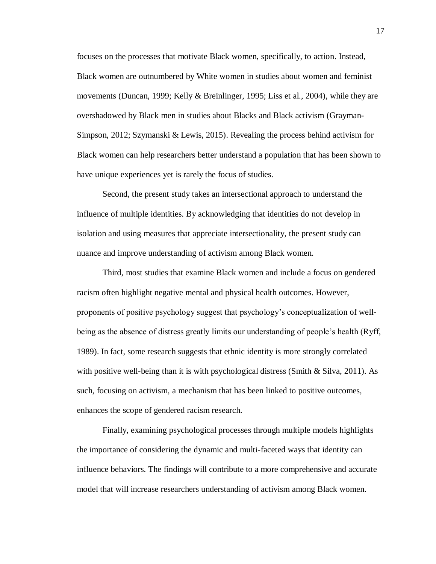focuses on the processes that motivate Black women, specifically, to action. Instead, Black women are outnumbered by White women in studies about women and feminist movements (Duncan, 1999; Kelly & Breinlinger, 1995; Liss et al., 2004), while they are overshadowed by Black men in studies about Blacks and Black activism (Grayman-Simpson, 2012; Szymanski & Lewis, 2015). Revealing the process behind activism for Black women can help researchers better understand a population that has been shown to have unique experiences yet is rarely the focus of studies.

Second, the present study takes an intersectional approach to understand the influence of multiple identities. By acknowledging that identities do not develop in isolation and using measures that appreciate intersectionality, the present study can nuance and improve understanding of activism among Black women.

Third, most studies that examine Black women and include a focus on gendered racism often highlight negative mental and physical health outcomes. However, proponents of positive psychology suggest that psychology's conceptualization of wellbeing as the absence of distress greatly limits our understanding of people's health (Ryff, 1989). In fact, some research suggests that ethnic identity is more strongly correlated with positive well-being than it is with psychological distress (Smith  $\&$  Silva, 2011). As such, focusing on activism, a mechanism that has been linked to positive outcomes, enhances the scope of gendered racism research.

Finally, examining psychological processes through multiple models highlights the importance of considering the dynamic and multi-faceted ways that identity can influence behaviors. The findings will contribute to a more comprehensive and accurate model that will increase researchers understanding of activism among Black women.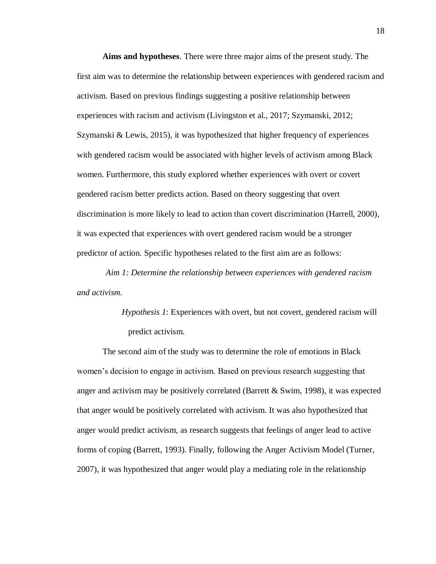**Aims and hypotheses**. There were three major aims of the present study. The first aim was to determine the relationship between experiences with gendered racism and activism. Based on previous findings suggesting a positive relationship between experiences with racism and activism (Livingston et al., 2017; Szymanski, 2012; Szymanski & Lewis, 2015), it was hypothesized that higher frequency of experiences with gendered racism would be associated with higher levels of activism among Black women. Furthermore, this study explored whether experiences with overt or covert gendered racism better predicts action. Based on theory suggesting that overt discrimination is more likely to lead to action than covert discrimination (Harrell, 2000), it was expected that experiences with overt gendered racism would be a stronger predictor of action. Specific hypotheses related to the first aim are as follows:

*Aim 1: Determine the relationship between experiences with gendered racism and activism.*

> *Hypothesis 1*: Experiences with overt, but not covert, gendered racism will predict activism.

The second aim of the study was to determine the role of emotions in Black women's decision to engage in activism. Based on previous research suggesting that anger and activism may be positively correlated (Barrett & Swim, 1998), it was expected that anger would be positively correlated with activism. It was also hypothesized that anger would predict activism, as research suggests that feelings of anger lead to active forms of coping (Barrett, 1993). Finally, following the Anger Activism Model (Turner, 2007), it was hypothesized that anger would play a mediating role in the relationship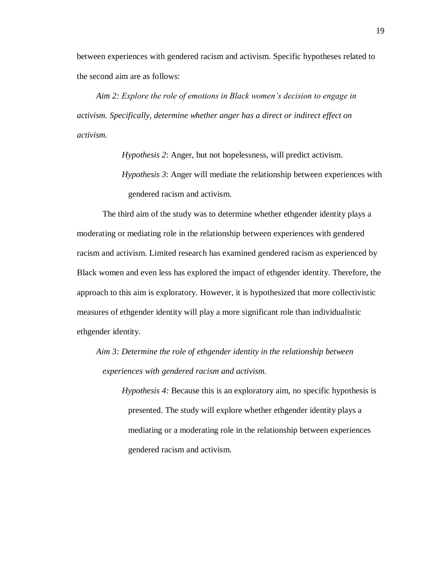between experiences with gendered racism and activism. Specific hypotheses related to the second aim are as follows:

*Aim 2: Explore the role of emotions in Black women's decision to engage in activism. Specifically, determine whether anger has a direct or indirect effect on activism.*

*Hypothesis 2*: Anger, but not hopelessness, will predict activism.

*Hypothesis 3*: Anger will mediate the relationship between experiences with gendered racism and activism.

The third aim of the study was to determine whether ethgender identity plays a moderating or mediating role in the relationship between experiences with gendered racism and activism. Limited research has examined gendered racism as experienced by Black women and even less has explored the impact of ethgender identity. Therefore, the approach to this aim is exploratory. However, it is hypothesized that more collectivistic measures of ethgender identity will play a more significant role than individualistic ethgender identity.

*Aim 3: Determine the role of ethgender identity in the relationship between experiences with gendered racism and activism.*

> *Hypothesis 4:* Because this is an exploratory aim, no specific hypothesis is presented. The study will explore whether ethgender identity plays a mediating or a moderating role in the relationship between experiences gendered racism and activism.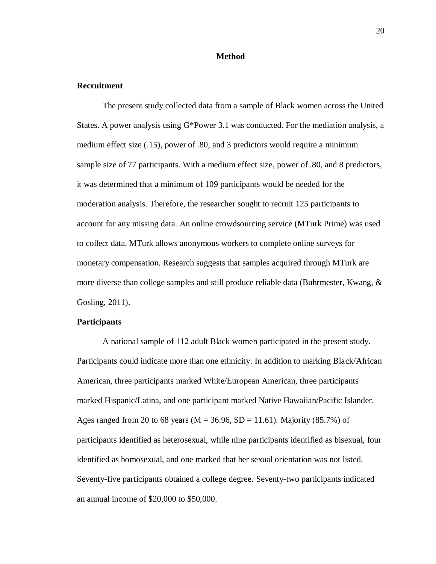#### **Method**

#### **Recruitment**

The present study collected data from a sample of Black women across the United States. A power analysis using G\*Power 3.1 was conducted. For the mediation analysis, a medium effect size (.15), power of .80, and 3 predictors would require a minimum sample size of 77 participants. With a medium effect size, power of .80, and 8 predictors, it was determined that a minimum of 109 participants would be needed for the moderation analysis. Therefore, the researcher sought to recruit 125 participants to account for any missing data. An online crowdsourcing service (MTurk Prime) was used to collect data. MTurk allows anonymous workers to complete online surveys for monetary compensation. Research suggests that samples acquired through MTurk are more diverse than college samples and still produce reliable data (Buhrmester, Kwang, & Gosling, 2011).

#### **Participants**

A national sample of 112 adult Black women participated in the present study. Participants could indicate more than one ethnicity. In addition to marking Black/African American, three participants marked White/European American, three participants marked Hispanic/Latina, and one participant marked Native Hawaiian/Pacific Islander. Ages ranged from 20 to 68 years ( $M = 36.96$ ,  $SD = 11.61$ ). Majority (85.7%) of participants identified as heterosexual, while nine participants identified as bisexual, four identified as homosexual, and one marked that her sexual orientation was not listed. Seventy-five participants obtained a college degree. Seventy-two participants indicated an annual income of \$20,000 to \$50,000.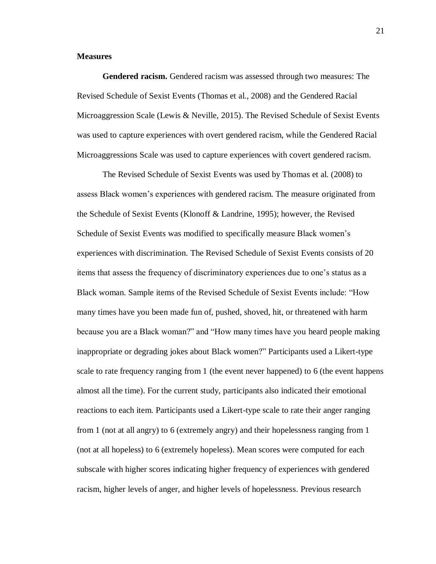#### **Measures**

**Gendered racism.** Gendered racism was assessed through two measures: The Revised Schedule of Sexist Events (Thomas et al., 2008) and the Gendered Racial Microaggression Scale (Lewis & Neville, 2015). The Revised Schedule of Sexist Events was used to capture experiences with overt gendered racism, while the Gendered Racial Microaggressions Scale was used to capture experiences with covert gendered racism.

The Revised Schedule of Sexist Events was used by Thomas et al. (2008) to assess Black women's experiences with gendered racism. The measure originated from the Schedule of Sexist Events (Klonoff & Landrine, 1995); however, the Revised Schedule of Sexist Events was modified to specifically measure Black women's experiences with discrimination. The Revised Schedule of Sexist Events consists of 20 items that assess the frequency of discriminatory experiences due to one's status as a Black woman. Sample items of the Revised Schedule of Sexist Events include: "How many times have you been made fun of, pushed, shoved, hit, or threatened with harm because you are a Black woman?" and "How many times have you heard people making inappropriate or degrading jokes about Black women?" Participants used a Likert-type scale to rate frequency ranging from 1 (the event never happened) to 6 (the event happens almost all the time). For the current study, participants also indicated their emotional reactions to each item. Participants used a Likert-type scale to rate their anger ranging from 1 (not at all angry) to 6 (extremely angry) and their hopelessness ranging from 1 (not at all hopeless) to 6 (extremely hopeless). Mean scores were computed for each subscale with higher scores indicating higher frequency of experiences with gendered racism, higher levels of anger, and higher levels of hopelessness. Previous research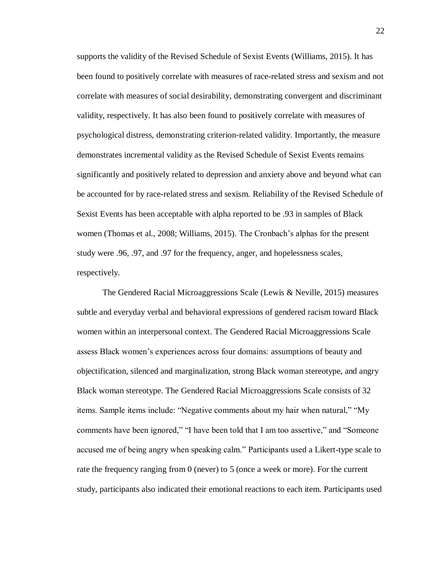supports the validity of the Revised Schedule of Sexist Events (Williams, 2015). It has been found to positively correlate with measures of race-related stress and sexism and not correlate with measures of social desirability, demonstrating convergent and discriminant validity, respectively. It has also been found to positively correlate with measures of psychological distress, demonstrating criterion-related validity. Importantly, the measure demonstrates incremental validity as the Revised Schedule of Sexist Events remains significantly and positively related to depression and anxiety above and beyond what can be accounted for by race-related stress and sexism. Reliability of the Revised Schedule of Sexist Events has been acceptable with alpha reported to be .93 in samples of Black women (Thomas et al., 2008; Williams, 2015). The Cronbach's alphas for the present study were .96, .97, and .97 for the frequency, anger, and hopelessness scales, respectively.

The Gendered Racial Microaggressions Scale (Lewis & Neville, 2015) measures subtle and everyday verbal and behavioral expressions of gendered racism toward Black women within an interpersonal context. The Gendered Racial Microaggressions Scale assess Black women's experiences across four domains: assumptions of beauty and objectification, silenced and marginalization, strong Black woman stereotype, and angry Black woman stereotype. The Gendered Racial Microaggressions Scale consists of 32 items. Sample items include: "Negative comments about my hair when natural," "My comments have been ignored," "I have been told that I am too assertive," and "Someone accused me of being angry when speaking calm." Participants used a Likert-type scale to rate the frequency ranging from 0 (never) to 5 (once a week or more). For the current study, participants also indicated their emotional reactions to each item. Participants used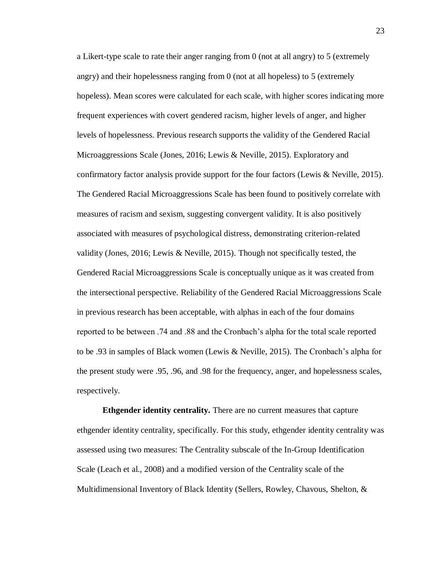a Likert-type scale to rate their anger ranging from 0 (not at all angry) to 5 (extremely angry) and their hopelessness ranging from 0 (not at all hopeless) to 5 (extremely hopeless). Mean scores were calculated for each scale, with higher scores indicating more frequent experiences with covert gendered racism, higher levels of anger, and higher levels of hopelessness. Previous research supports the validity of the Gendered Racial Microaggressions Scale (Jones, 2016; Lewis & Neville, 2015). Exploratory and confirmatory factor analysis provide support for the four factors (Lewis & Neville, 2015). The Gendered Racial Microaggressions Scale has been found to positively correlate with measures of racism and sexism, suggesting convergent validity. It is also positively associated with measures of psychological distress, demonstrating criterion-related validity (Jones, 2016; Lewis & Neville, 2015). Though not specifically tested, the Gendered Racial Microaggressions Scale is conceptually unique as it was created from the intersectional perspective. Reliability of the Gendered Racial Microaggressions Scale in previous research has been acceptable, with alphas in each of the four domains reported to be between .74 and .88 and the Cronbach's alpha for the total scale reported to be .93 in samples of Black women (Lewis & Neville, 2015). The Cronbach's alpha for the present study were .95, .96, and .98 for the frequency, anger, and hopelessness scales, respectively.

**Ethgender identity centrality.** There are no current measures that capture ethgender identity centrality, specifically. For this study, ethgender identity centrality was assessed using two measures: The Centrality subscale of the In-Group Identification Scale (Leach et al., 2008) and a modified version of the Centrality scale of the Multidimensional Inventory of Black Identity (Sellers, Rowley, Chavous, Shelton, &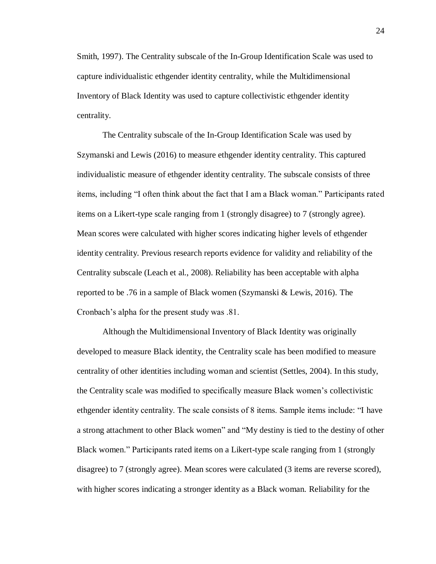Smith, 1997). The Centrality subscale of the In-Group Identification Scale was used to capture individualistic ethgender identity centrality, while the Multidimensional Inventory of Black Identity was used to capture collectivistic ethgender identity centrality.

The Centrality subscale of the In-Group Identification Scale was used by Szymanski and Lewis (2016) to measure ethgender identity centrality. This captured individualistic measure of ethgender identity centrality. The subscale consists of three items, including "I often think about the fact that I am a Black woman." Participants rated items on a Likert-type scale ranging from 1 (strongly disagree) to 7 (strongly agree). Mean scores were calculated with higher scores indicating higher levels of ethgender identity centrality. Previous research reports evidence for validity and reliability of the Centrality subscale (Leach et al., 2008). Reliability has been acceptable with alpha reported to be .76 in a sample of Black women (Szymanski & Lewis, 2016). The Cronbach's alpha for the present study was .81.

Although the Multidimensional Inventory of Black Identity was originally developed to measure Black identity, the Centrality scale has been modified to measure centrality of other identities including woman and scientist (Settles, 2004). In this study, the Centrality scale was modified to specifically measure Black women's collectivistic ethgender identity centrality. The scale consists of 8 items. Sample items include: "I have a strong attachment to other Black women" and "My destiny is tied to the destiny of other Black women." Participants rated items on a Likert-type scale ranging from 1 (strongly disagree) to 7 (strongly agree). Mean scores were calculated (3 items are reverse scored), with higher scores indicating a stronger identity as a Black woman. Reliability for the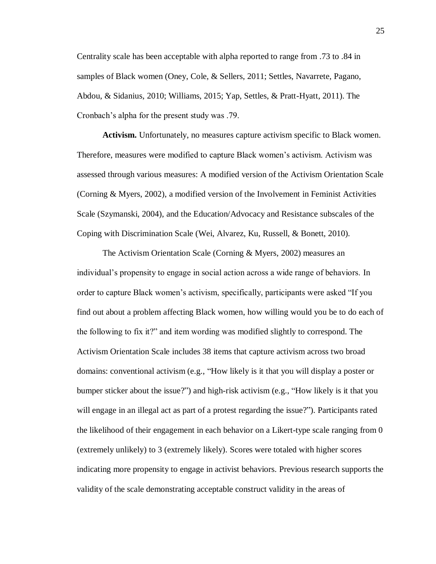Centrality scale has been acceptable with alpha reported to range from .73 to .84 in samples of Black women (Oney, Cole, & Sellers, 2011; Settles, Navarrete, Pagano, Abdou, & Sidanius, 2010; Williams, 2015; Yap, Settles, & Pratt-Hyatt, 2011). The Cronbach's alpha for the present study was .79.

**Activism.** Unfortunately, no measures capture activism specific to Black women. Therefore, measures were modified to capture Black women's activism. Activism was assessed through various measures: A modified version of the Activism Orientation Scale (Corning & Myers, 2002), a modified version of the Involvement in Feminist Activities Scale (Szymanski, 2004), and the Education/Advocacy and Resistance subscales of the Coping with Discrimination Scale (Wei, Alvarez, Ku, Russell, & Bonett, 2010).

The Activism Orientation Scale (Corning & Myers, 2002) measures an individual's propensity to engage in social action across a wide range of behaviors. In order to capture Black women's activism, specifically, participants were asked "If you find out about a problem affecting Black women, how willing would you be to do each of the following to fix it?" and item wording was modified slightly to correspond. The Activism Orientation Scale includes 38 items that capture activism across two broad domains: conventional activism (e.g., "How likely is it that you will display a poster or bumper sticker about the issue?") and high-risk activism (e.g., "How likely is it that you will engage in an illegal act as part of a protest regarding the issue?"). Participants rated the likelihood of their engagement in each behavior on a Likert-type scale ranging from 0 (extremely unlikely) to 3 (extremely likely). Scores were totaled with higher scores indicating more propensity to engage in activist behaviors. Previous research supports the validity of the scale demonstrating acceptable construct validity in the areas of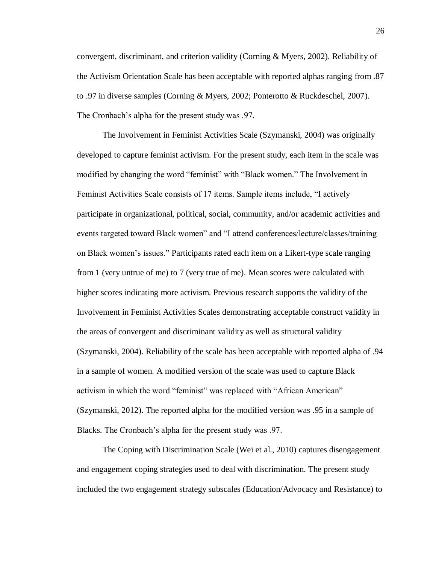convergent, discriminant, and criterion validity (Corning & Myers, 2002). Reliability of the Activism Orientation Scale has been acceptable with reported alphas ranging from .87 to .97 in diverse samples (Corning & Myers, 2002; Ponterotto & Ruckdeschel, 2007). The Cronbach's alpha for the present study was .97.

The Involvement in Feminist Activities Scale (Szymanski, 2004) was originally developed to capture feminist activism. For the present study, each item in the scale was modified by changing the word "feminist" with "Black women." The Involvement in Feminist Activities Scale consists of 17 items. Sample items include, "I actively participate in organizational, political, social, community, and/or academic activities and events targeted toward Black women" and "I attend conferences/lecture/classes/training on Black women's issues." Participants rated each item on a Likert-type scale ranging from 1 (very untrue of me) to 7 (very true of me). Mean scores were calculated with higher scores indicating more activism. Previous research supports the validity of the Involvement in Feminist Activities Scales demonstrating acceptable construct validity in the areas of convergent and discriminant validity as well as structural validity (Szymanski, 2004). Reliability of the scale has been acceptable with reported alpha of .94 in a sample of women. A modified version of the scale was used to capture Black activism in which the word "feminist" was replaced with "African American" (Szymanski, 2012). The reported alpha for the modified version was .95 in a sample of Blacks. The Cronbach's alpha for the present study was .97.

The Coping with Discrimination Scale (Wei et al., 2010) captures disengagement and engagement coping strategies used to deal with discrimination. The present study included the two engagement strategy subscales (Education/Advocacy and Resistance) to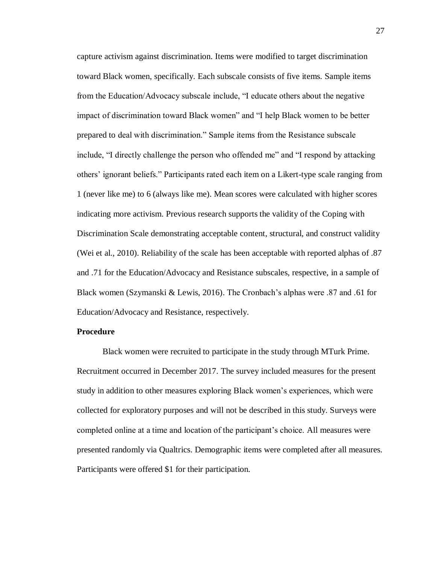capture activism against discrimination. Items were modified to target discrimination toward Black women, specifically. Each subscale consists of five items. Sample items from the Education/Advocacy subscale include, "I educate others about the negative impact of discrimination toward Black women" and "I help Black women to be better prepared to deal with discrimination." Sample items from the Resistance subscale include, "I directly challenge the person who offended me" and "I respond by attacking others' ignorant beliefs." Participants rated each item on a Likert-type scale ranging from 1 (never like me) to 6 (always like me). Mean scores were calculated with higher scores indicating more activism. Previous research supports the validity of the Coping with Discrimination Scale demonstrating acceptable content, structural, and construct validity (Wei et al., 2010). Reliability of the scale has been acceptable with reported alphas of .87 and .71 for the Education/Advocacy and Resistance subscales, respective, in a sample of Black women (Szymanski & Lewis, 2016). The Cronbach's alphas were .87 and .61 for Education/Advocacy and Resistance, respectively.

#### **Procedure**

Black women were recruited to participate in the study through MTurk Prime. Recruitment occurred in December 2017. The survey included measures for the present study in addition to other measures exploring Black women's experiences, which were collected for exploratory purposes and will not be described in this study. Surveys were completed online at a time and location of the participant's choice. All measures were presented randomly via Qualtrics. Demographic items were completed after all measures. Participants were offered \$1 for their participation.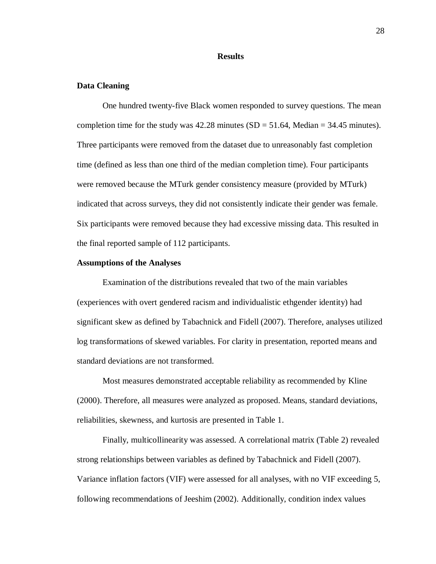#### **Results**

#### **Data Cleaning**

One hundred twenty-five Black women responded to survey questions. The mean completion time for the study was  $42.28$  minutes (SD = 51.64, Median = 34.45 minutes). Three participants were removed from the dataset due to unreasonably fast completion time (defined as less than one third of the median completion time). Four participants were removed because the MTurk gender consistency measure (provided by MTurk) indicated that across surveys, they did not consistently indicate their gender was female. Six participants were removed because they had excessive missing data. This resulted in the final reported sample of 112 participants.

#### **Assumptions of the Analyses**

Examination of the distributions revealed that two of the main variables (experiences with overt gendered racism and individualistic ethgender identity) had significant skew as defined by Tabachnick and Fidell (2007). Therefore, analyses utilized log transformations of skewed variables. For clarity in presentation, reported means and standard deviations are not transformed.

Most measures demonstrated acceptable reliability as recommended by Kline (2000). Therefore, all measures were analyzed as proposed. Means, standard deviations, reliabilities, skewness, and kurtosis are presented in Table 1.

Finally, multicollinearity was assessed. A correlational matrix (Table 2) revealed strong relationships between variables as defined by Tabachnick and Fidell (2007). Variance inflation factors (VIF) were assessed for all analyses, with no VIF exceeding 5, following recommendations of Jeeshim (2002). Additionally, condition index values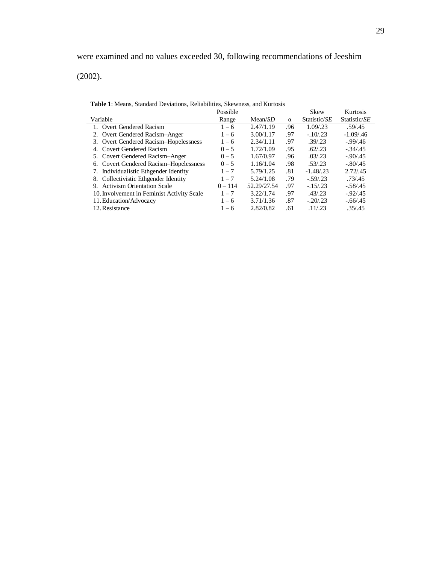(2002).

| <b>Table 1.</b> Means, Standard Deviations, Renabilities, Skewhess, and Kurtosis |           |             |          |              |              |  |  |  |
|----------------------------------------------------------------------------------|-----------|-------------|----------|--------------|--------------|--|--|--|
|                                                                                  | Possible  |             |          | <b>Skew</b>  | Kurtosis     |  |  |  |
| Variable                                                                         | Range     | Mean/SD     | $\alpha$ | Statistic/SE | Statistic/SE |  |  |  |
| 1. Overt Gendered Racism                                                         | $1 - 6$   | 2.47/1.19   | .96      | 1.09/.23     | .59/0.45     |  |  |  |
| 2. Overt Gendered Racism-Anger                                                   | $1 - 6$   | 3.00/1.17   | .97      | $-.10/.23$   | $-1.09/0.46$ |  |  |  |
| 3. Overt Gendered Racism-Hopelessness                                            | $1 - 6$   | 2.34/1.11   | .97      | .39/0.23     | $-0.99/0.46$ |  |  |  |
| 4. Covert Gendered Racism                                                        | $0 - 5$   | 1.72/1.09   | .95      | .62/0.23     | $-.34/.45$   |  |  |  |
| 5. Covert Gendered Racism-Anger                                                  | $0 - 5$   | 1.67/0.97   | .96      | .03/0.23     | $-.90/.45$   |  |  |  |
| 6. Covert Gendered Racism-Hopelessness                                           | $0 - 5$   | 1.16/1.04   | .98      | .53/.23      | $-.80/.45$   |  |  |  |
| Individualistic Ethgender Identity<br>7.                                         | $1 - 7$   | 5.79/1.25   | .81      | $-1.48/0.23$ | 2.72/0.45    |  |  |  |
| 8. Collectivistic Ethgender Identity                                             | $1 - 7$   | 5.24/1.08   | .79      | $-.59/0.23$  | .73/0.45     |  |  |  |
| 9. Activism Orientation Scale                                                    | $0 - 114$ | 52.29/27.54 | .97      | $-.15/0.23$  | $-.58/.45$   |  |  |  |
| 10. Involvement in Feminist Activity Scale                                       | $1 - 7$   | 3.22/1.74   | .97      | .43/.23      | $-0.92/0.45$ |  |  |  |
| 11. Education/Advocacy                                                           | $1 - 6$   | 3.71/1.36   | .87      | $-.20/0.23$  | $-.66/.45$   |  |  |  |
| 12. Resistance                                                                   | $1 - 6$   | 2.82/0.82   | .61      | .11/0.23     | .35/0.45     |  |  |  |

**Table 1**: Means, Standard Deviations, Reliabilities, Skewness, and Kurtosis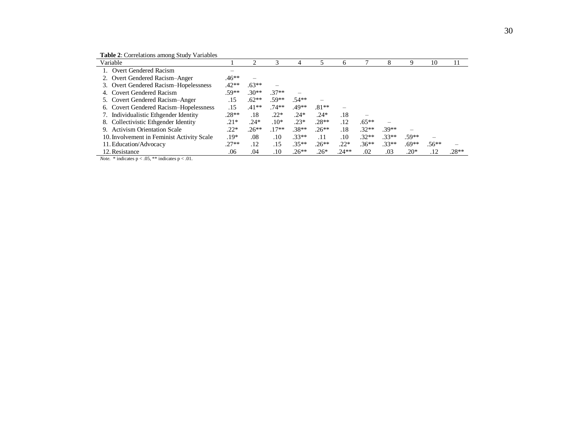**Table 2**: Correlations among Study Variables

| Variable                                   |         |         | 3       | 4       |         | 6       |                          | 8       | Q       | 10      | 11      |
|--------------------------------------------|---------|---------|---------|---------|---------|---------|--------------------------|---------|---------|---------|---------|
| Overt Gendered Racism                      |         |         |         |         |         |         |                          |         |         |         |         |
| Overt Gendered Racism-Anger                | $.46**$ |         |         |         |         |         |                          |         |         |         |         |
| Overt Gendered Racism-Hopelessness         | $.42**$ | $.63**$ |         |         |         |         |                          |         |         |         |         |
| Covert Gendered Racism                     | .59**   | $.30**$ | $.37**$ |         |         |         |                          |         |         |         |         |
| 5. Covert Gendered Racism-Anger            | .15     | $.62**$ | $.59**$ | .54**   |         |         |                          |         |         |         |         |
| 6. Covert Gendered Racism-Hopelessness     | .15     | $.41**$ | $.74**$ | .49**   | $.81**$ |         |                          |         |         |         |         |
| Individualistic Ethgender Identity         | $.28**$ | .18     | $.22*$  | $.24*$  | $.24*$  | .18     | $\overline{\phantom{0}}$ |         |         |         |         |
| 8. Collectivistic Ethgender Identity       | $.21*$  | $.24*$  | $.10*$  | $.23*$  | $.28**$ | .12     | $.65***$                 |         |         |         |         |
| 9. Activism Orientation Scale              | $.22*$  | $.26**$ | $.17**$ | $.38**$ | $.26**$ | .18     | $.32**$                  | $.39**$ |         |         |         |
| 10. Involvement in Feminist Activity Scale | .19*    | .08     | .10     | $.33**$ | .11     | .10     | $.32**$                  | $.33**$ | $.59**$ | —       |         |
| 11. Education/Advocacy                     | $.27**$ | .12     | .15     | $.35**$ | $.26**$ | $.22*$  | $.36**$                  | $.33**$ | $.69**$ | $.56**$ |         |
| 12. Resistance                             | .06     | .04     | .10     | $.26**$ | $.26*$  | $.24**$ | .02                      | .03     | $.20*$  | .12     | $.28**$ |

*Note.* \* indicates  $p < .05$ , \*\* indicates  $p < .01$ .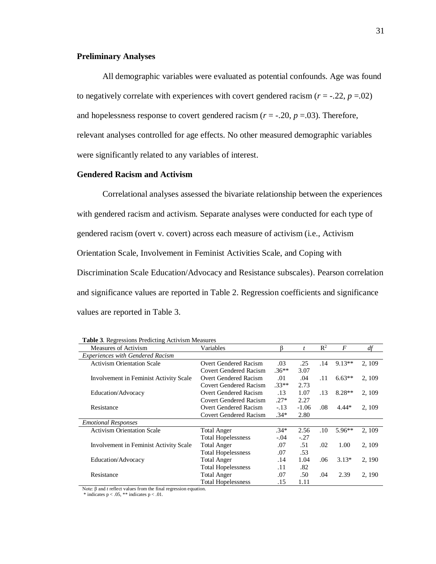# **Preliminary Analyses**

All demographic variables were evaluated as potential confounds. Age was found to negatively correlate with experiences with covert gendered racism  $(r = -.22, p = .02)$ and hopelessness response to covert gendered racism  $(r = -.20, p = .03)$ . Therefore, relevant analyses controlled for age effects. No other measured demographic variables were significantly related to any variables of interest.

# **Gendered Racism and Activism**

Correlational analyses assessed the bivariate relationship between the experiences with gendered racism and activism. Separate analyses were conducted for each type of gendered racism (overt v. covert) across each measure of activism (i.e., Activism Orientation Scale, Involvement in Feminist Activities Scale, and Coping with Discrimination Scale Education/Advocacy and Resistance subscales). Pearson correlation and significance values are reported in Table 2. Regression coefficients and significance values are reported in Table 3.

| Measures of Activism                    | Variables                     |         | $\boldsymbol{t}$ | $\mathbb{R}^2$ | $\overline{F}$ | df     |
|-----------------------------------------|-------------------------------|---------|------------------|----------------|----------------|--------|
| <b>Experiences with Gendered Racism</b> |                               |         |                  |                |                |        |
| <b>Activism Orientation Scale</b>       | Overt Gendered Racism         | .03     | .25              | .14            | $9.13**$       | 2, 109 |
|                                         | Covert Gendered Racism        | $.36**$ | 3.07             |                |                |        |
| Involvement in Feminist Activity Scale  | Overt Gendered Racism         | .01     | .04              | .11            | $6.63**$       | 2, 109 |
|                                         | Covert Gendered Racism        | $.33**$ | 2.73             |                |                |        |
| Education/Advocacy                      | <b>Overt Gendered Racism</b>  | .13     | 1.07             | .13            | $8.28**$       | 2, 109 |
|                                         | Covert Gendered Racism        | $.27*$  | 2.27             |                |                |        |
| Resistance                              | <b>Overt Gendered Racism</b>  | $-.13$  | $-1.06$          | .08            | $4.44*$        | 2, 109 |
|                                         | <b>Covert Gendered Racism</b> | $.34*$  | 2.80             |                |                |        |
| <b>Emotional Responses</b>              |                               |         |                  |                |                |        |
| <b>Activism Orientation Scale</b>       | <b>Total Anger</b>            | $.34*$  | 2.56             | .10            | $5.96**$       | 2, 109 |
|                                         | <b>Total Hopelessness</b>     | $-.04$  | $-.27$           |                |                |        |
| Involvement in Feminist Activity Scale  | <b>Total Anger</b>            | .07     | .51              | .02            | 1.00           | 2, 109 |
|                                         | <b>Total Hopelessness</b>     | .07     | .53              |                |                |        |
| Education/Advocacy                      | <b>Total Anger</b>            | .14     | 1.04             | .06            | $3.13*$        | 2, 190 |
|                                         | <b>Total Hopelessness</b>     | .11     | .82              |                |                |        |
| Resistance                              | <b>Total Anger</b>            | .07     | .50              | .04            | 2.39           | 2, 190 |
|                                         | <b>Total Hopelessness</b>     | .15     | 1.11             |                |                |        |

| <b>Table 3.</b> Regressions Predicting Activism Measures |  |
|----------------------------------------------------------|--|
|----------------------------------------------------------|--|

Note: β and *t* reflect values from the final regression equation.

 $*$  indicates  $p < .05$ ,  $**$  indicates  $p < .01$ .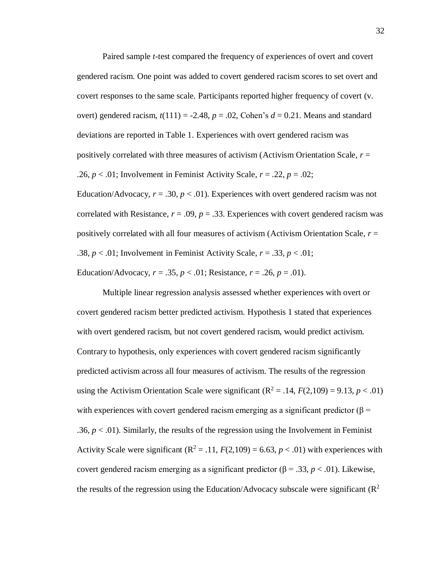Paired sample *t*-test compared the frequency of experiences of overt and covert gendered racism. One point was added to covert gendered racism scores to set overt and covert responses to the same scale. Participants reported higher frequency of covert (v. overt) gendered racism,  $t(111) = -2.48$ ,  $p = .02$ , Cohen's  $d = 0.21$ . Means and standard deviations are reported in Table 1. Experiences with overt gendered racism was positively correlated with three measures of activism (Activism Orientation Scale, *r* = .26,  $p < .01$ ; Involvement in Feminist Activity Scale,  $r = .22$ ,  $p = .02$ ; Education/Advocacy,  $r = .30$ ,  $p < .01$ ). Experiences with overt gendered racism was not

correlated with Resistance,  $r = .09$ ,  $p = .33$ . Experiences with covert gendered racism was positively correlated with all four measures of activism (Activism Orientation Scale, *r* = .38,  $p < .01$ ; Involvement in Feminist Activity Scale,  $r = .33$ ,  $p < .01$ ; Education/Advocacy,  $r = .35$ ,  $p < .01$ ; Resistance,  $r = .26$ ,  $p = .01$ ).

Multiple linear regression analysis assessed whether experiences with overt or covert gendered racism better predicted activism. Hypothesis 1 stated that experiences with overt gendered racism, but not covert gendered racism, would predict activism. Contrary to hypothesis, only experiences with covert gendered racism significantly predicted activism across all four measures of activism. The results of the regression using the Activism Orientation Scale were significant  $(R^2 = .14, F(2,109) = 9.13, p < .01)$ with experiences with covert gendered racism emerging as a significant predictor ( $\beta$  = .36,  $p < 0.01$ ). Similarly, the results of the regression using the Involvement in Feminist Activity Scale were significant  $(R^2 = .11, F(2,109) = 6.63, p < .01)$  with experiences with covert gendered racism emerging as a significant predictor (β = .33,  $p < .01$ ). Likewise, the results of the regression using the Education/Advocacy subscale were significant  $(R^2)$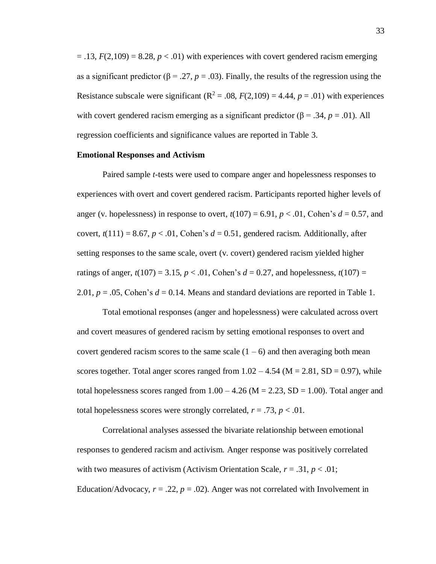$=$  .13,  $F(2,109) = 8.28$ ,  $p < .01$ ) with experiences with covert gendered racism emerging as a significant predictor ( $\beta$  = .27, *p* = .03). Finally, the results of the regression using the Resistance subscale were significant ( $\mathbb{R}^2 = .08$ ,  $F(2,109) = 4.44$ ,  $p = .01$ ) with experiences with covert gendered racism emerging as a significant predictor ( $\beta$  = .34, *p* = .01). All regression coefficients and significance values are reported in Table 3.

#### **Emotional Responses and Activism**

Paired sample *t*-tests were used to compare anger and hopelessness responses to experiences with overt and covert gendered racism. Participants reported higher levels of anger (v. hopelessness) in response to overt,  $t(107) = 6.91$ ,  $p < .01$ , Cohen's  $d = 0.57$ , and covert,  $t(111) = 8.67$ ,  $p < .01$ , Cohen's  $d = 0.51$ , gendered racism. Additionally, after setting responses to the same scale, overt (v. covert) gendered racism yielded higher ratings of anger,  $t(107) = 3.15$ ,  $p < .01$ , Cohen's  $d = 0.27$ , and hopelessness,  $t(107) =$ 2.01,  $p = 0.05$ , Cohen's  $d = 0.14$ . Means and standard deviations are reported in Table 1.

Total emotional responses (anger and hopelessness) were calculated across overt and covert measures of gendered racism by setting emotional responses to overt and covert gendered racism scores to the same scale  $(1 - 6)$  and then averaging both mean scores together. Total anger scores ranged from  $1.02 - 4.54$  (M = 2.81, SD = 0.97), while total hopelessness scores ranged from  $1.00 - 4.26$  (M = 2.23, SD = 1.00). Total anger and total hopelessness scores were strongly correlated,  $r = .73$ ,  $p < .01$ .

Correlational analyses assessed the bivariate relationship between emotional responses to gendered racism and activism. Anger response was positively correlated with two measures of activism (Activism Orientation Scale,  $r = .31$ ,  $p < .01$ ; Education/Advocacy,  $r = .22$ ,  $p = .02$ ). Anger was not correlated with Involvement in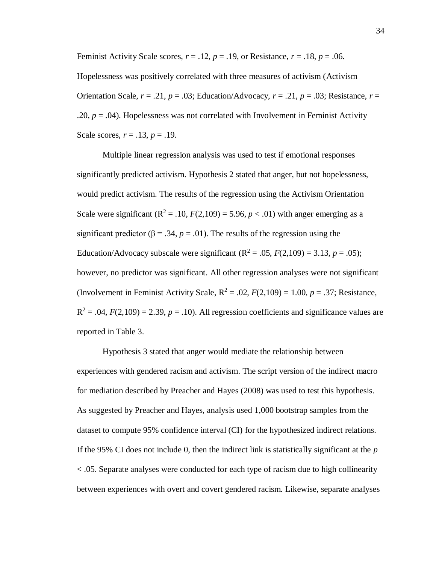Feminist Activity Scale scores,  $r = .12$ ,  $p = .19$ , or Resistance,  $r = .18$ ,  $p = .06$ . Hopelessness was positively correlated with three measures of activism (Activism Orientation Scale,  $r = .21$ ,  $p = .03$ ; Education/Advocacy,  $r = .21$ ,  $p = .03$ ; Resistance,  $r =$ .20,  $p = .04$ ). Hopelessness was not correlated with Involvement in Feminist Activity Scale scores, *r* = .13, *p* = .19.

Multiple linear regression analysis was used to test if emotional responses significantly predicted activism. Hypothesis 2 stated that anger, but not hopelessness, would predict activism. The results of the regression using the Activism Orientation Scale were significant  $(R^2 = .10, F(2,109) = 5.96, p < .01)$  with anger emerging as a significant predictor ( $\beta$  = .34,  $p$  = .01). The results of the regression using the Education/Advocacy subscale were significant  $(R^2 = .05, F(2,109) = 3.13, p = .05)$ ; however, no predictor was significant. All other regression analyses were not significant (Involvement in Feminist Activity Scale,  $R^2 = .02$ ,  $F(2,109) = 1.00$ ,  $p = .37$ ; Resistance,  $R^2 = .04$ ,  $F(2,109) = 2.39$ ,  $p = .10$ ). All regression coefficients and significance values are reported in Table 3.

Hypothesis 3 stated that anger would mediate the relationship between experiences with gendered racism and activism. The script version of the indirect macro for mediation described by Preacher and Hayes (2008) was used to test this hypothesis. As suggested by Preacher and Hayes, analysis used 1,000 bootstrap samples from the dataset to compute 95% confidence interval (CI) for the hypothesized indirect relations. If the 95% CI does not include 0, then the indirect link is statistically significant at the *p*  < .05. Separate analyses were conducted for each type of racism due to high collinearity between experiences with overt and covert gendered racism. Likewise, separate analyses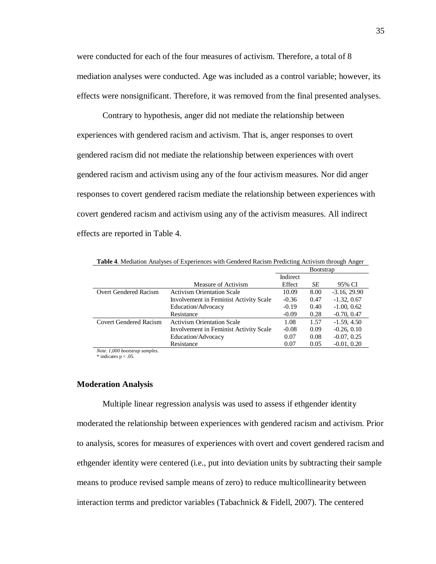were conducted for each of the four measures of activism. Therefore, a total of 8 mediation analyses were conducted. Age was included as a control variable; however, its effects were nonsignificant. Therefore, it was removed from the final presented analyses.

Contrary to hypothesis, anger did not mediate the relationship between experiences with gendered racism and activism. That is, anger responses to overt gendered racism did not mediate the relationship between experiences with overt gendered racism and activism using any of the four activism measures. Nor did anger responses to covert gendered racism mediate the relationship between experiences with covert gendered racism and activism using any of the activism measures. All indirect effects are reported in Table 4.

|                        |                                        | Indirect |      |                 |
|------------------------|----------------------------------------|----------|------|-----------------|
|                        | Measure of Activism                    | Effect   | SЕ   | 95% CI          |
| Overt Gendered Racism  | <b>Activism Orientation Scale</b>      | 10.09    | 8.00 | $-3.16$ , 29.90 |
|                        | Involvement in Feminist Activity Scale | $-0.36$  | 0.47 | $-1.32, 0.67$   |
|                        | Education/Advocacy                     | $-0.19$  | 0.40 | $-1.00, 0.62$   |
|                        | Resistance                             | $-0.09$  | 0.28 | $-0.70, 0.47$   |
| Covert Gendered Racism | <b>Activism Orientation Scale</b>      | 1.08     | 1.57 | $-1.59, 4.50$   |
|                        | Involvement in Feminist Activity Scale | $-0.08$  | 0.09 | $-0.26, 0.10$   |
|                        | Education/Advocacy                     | 0.07     | 0.08 | $-0.07, 0.25$   |
|                        | Resistance                             | 0.07     | 0.05 | $-0.01, 0.20$   |

**Table 4**. Mediation Analyses of Experiences with Gendered Racism Predicting Activism through Anger

**Bootstrap** 

*Note. 1,000 bootstrap samples.*   $*$  indicates  $p < .05$ .

## **Moderation Analysis**

Multiple linear regression analysis was used to assess if ethgender identity moderated the relationship between experiences with gendered racism and activism. Prior to analysis, scores for measures of experiences with overt and covert gendered racism and ethgender identity were centered (i.e., put into deviation units by subtracting their sample means to produce revised sample means of zero) to reduce multicollinearity between interaction terms and predictor variables (Tabachnick & Fidell, 2007). The centered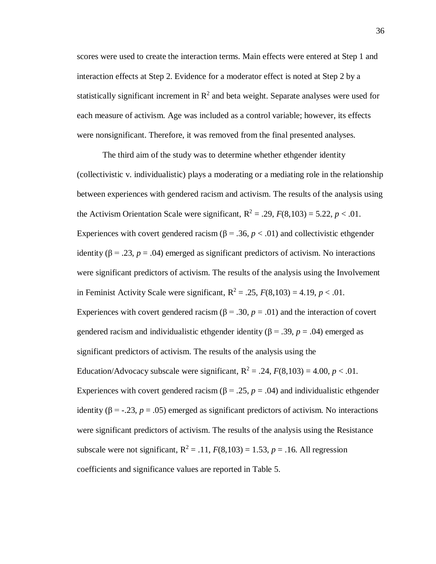scores were used to create the interaction terms. Main effects were entered at Step 1 and interaction effects at Step 2. Evidence for a moderator effect is noted at Step 2 by a statistically significant increment in  $\mathbb{R}^2$  and beta weight. Separate analyses were used for each measure of activism. Age was included as a control variable; however, its effects were nonsignificant. Therefore, it was removed from the final presented analyses.

The third aim of the study was to determine whether ethgender identity (collectivistic v. individualistic) plays a moderating or a mediating role in the relationship between experiences with gendered racism and activism. The results of the analysis using the Activism Orientation Scale were significant,  $R^2 = .29$ ,  $F(8,103) = 5.22$ ,  $p < .01$ . Experiences with covert gendered racism ( $\beta$  = .36,  $p$  < .01) and collectivistic ethgender identity ( $\beta$  = .23, *p* = .04) emerged as significant predictors of activism. No interactions were significant predictors of activism. The results of the analysis using the Involvement in Feminist Activity Scale were significant,  $R^2 = .25$ ,  $F(8,103) = 4.19$ ,  $p < .01$ . Experiences with covert gendered racism ( $\beta$  = .30,  $p$  = .01) and the interaction of covert gendered racism and individualistic ethgender identity ( $β = .39, p = .04$ ) emerged as significant predictors of activism. The results of the analysis using the Education/Advocacy subscale were significant,  $R^2 = .24$ ,  $F(8,103) = 4.00$ ,  $p < .01$ . Experiences with covert gendered racism ( $\beta$  = .25,  $p$  = .04) and individualistic ethgender identity ( $\beta$  = -.23,  $p$  = .05) emerged as significant predictors of activism. No interactions were significant predictors of activism. The results of the analysis using the Resistance subscale were not significant,  $R^2 = .11$ ,  $F(8,103) = 1.53$ ,  $p = .16$ . All regression coefficients and significance values are reported in Table 5.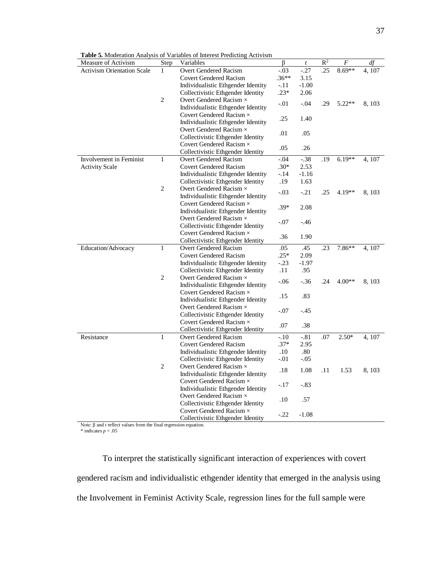| Measure of Activism               | Step           | Variables                                                            | $\beta$ | $\boldsymbol{t}$ | $\mathbb{R}^2$ | F        | df     |
|-----------------------------------|----------------|----------------------------------------------------------------------|---------|------------------|----------------|----------|--------|
| <b>Activism Orientation Scale</b> | 1              | Overt Gendered Racism                                                | $-.03$  | $-27$            | .25            | $8.69**$ | 4,107  |
|                                   |                | <b>Covert Gendered Racism</b>                                        | $.36**$ | 3.15             |                |          |        |
|                                   |                | Individualistic Ethgender Identity                                   | $-.11$  | $-1.00$          |                |          |        |
|                                   |                | Collectivistic Ethgender Identity                                    | $.23*$  | 2.06             |                |          |        |
|                                   | 2              | Overt Gendered Racism $\times$                                       | $-.01$  | $-.04$           | .29            | $5.22**$ | 8, 103 |
|                                   |                | Individualistic Ethgender Identity                                   |         |                  |                |          |        |
|                                   |                | Covert Gendered Racism $\times$                                      | .25     | 1.40             |                |          |        |
|                                   |                | Individualistic Ethgender Identity                                   |         |                  |                |          |        |
|                                   |                | Overt Gendered Racism $\times$                                       | .01     | .05              |                |          |        |
|                                   |                | Collectivistic Ethgender Identity                                    |         |                  |                |          |        |
|                                   |                | Covert Gendered Racism ×                                             | .05     | .26              |                |          |        |
|                                   |                | Collectivistic Ethgender Identity                                    |         |                  |                |          |        |
| Involvement in Feminist           | $\mathbf{1}$   | Overt Gendered Racism                                                | $-.04$  | $-38$            | .19            | $6.19**$ | 4, 107 |
| <b>Activity Scale</b>             |                | <b>Covert Gendered Racism</b>                                        | $.30*$  | 2.53             |                |          |        |
|                                   |                | Individualistic Ethgender Identity                                   | $-.14$  | $-1.16$          |                |          |        |
|                                   |                | Collectivistic Ethgender Identity                                    | .19     | 1.63             |                |          |        |
|                                   | $\overline{c}$ | Overt Gendered Racism $\times$                                       | $-.03$  | $-.21$           | .25            | 4.19**   | 8, 103 |
|                                   |                | Individualistic Ethgender Identity                                   |         |                  |                |          |        |
|                                   |                | Covert Gendered Racism $\times$                                      | $.39*$  | 2.08             |                |          |        |
|                                   |                | Individualistic Ethgender Identity                                   |         |                  |                |          |        |
|                                   |                | Overt Gendered Racism ×                                              | $-.07$  | $-.46$           |                |          |        |
|                                   |                | Collectivistic Ethgender Identity                                    |         |                  |                |          |        |
|                                   |                | Covert Gendered Racism $\times$                                      | .36     | 1.90             |                |          |        |
|                                   |                | Collectivistic Ethgender Identity                                    |         |                  |                |          |        |
| Education/Advocacy                | 1              | Overt Gendered Racism                                                | .05     | .45              | .23            | $7.86**$ | 4, 107 |
|                                   |                | <b>Covert Gendered Racism</b>                                        | $.25*$  | 2.09             |                |          |        |
|                                   |                | Individualistic Ethgender Identity                                   | $-.23$  | $-1.97$          |                |          |        |
|                                   |                | Collectivistic Ethgender Identity                                    | .11     | .95              |                |          |        |
|                                   | 2              | Overt Gendered Racism ×                                              | $-.06$  | $-.36$           | .24            | $4.00**$ | 8, 103 |
|                                   |                | Individualistic Ethgender Identity                                   |         |                  |                |          |        |
|                                   |                | Covert Gendered Racism $\times$                                      | .15     | .83              |                |          |        |
|                                   |                | Individualistic Ethgender Identity                                   |         |                  |                |          |        |
|                                   |                | Overt Gendered Racism ×                                              | $-.07$  | $-.45$           |                |          |        |
|                                   |                | Collectivistic Ethgender Identity                                    |         |                  |                |          |        |
|                                   |                | Covert Gendered Racism ×                                             | .07     | .38              |                |          |        |
|                                   |                | Collectivistic Ethgender Identity                                    |         |                  |                |          |        |
| Resistance                        | $\mathbf{1}$   | Overt Gendered Racism                                                | $-.10$  | $-.81$           | .07            | $2.50*$  | 4, 107 |
|                                   |                | <b>Covert Gendered Racism</b>                                        | $.37*$  | 2.95             |                |          |        |
|                                   |                | Individualistic Ethgender Identity                                   | $.10\,$ | .80              |                |          |        |
|                                   |                | Collectivistic Ethgender Identity                                    | $-.01$  | $-.05$           |                |          |        |
|                                   | 2              | Overt Gendered Racism $\times$                                       | .18     | 1.08             | .11            | 1.53     | 8, 103 |
|                                   |                | Individualistic Ethgender Identity                                   |         |                  |                |          |        |
|                                   |                | Covert Gendered Racism $\times$                                      | $-.17$  | $-.83$           |                |          |        |
|                                   |                |                                                                      |         |                  |                |          |        |
|                                   |                | Individualistic Ethgender Identity                                   |         |                  |                |          |        |
|                                   |                | Overt Gendered Racism $\times$                                       | .10     | .57              |                |          |        |
|                                   |                | Collectivistic Ethgender Identity<br>Covert Gendered Racism $\times$ |         |                  |                |          |        |

Note: β and *t* reflect values from the final regression equation.

\* indicates  $p < .05$ 

To interpret the statistically significant interaction of experiences with covert gendered racism and individualistic ethgender identity that emerged in the analysis using the Involvement in Feminist Activity Scale, regression lines for the full sample were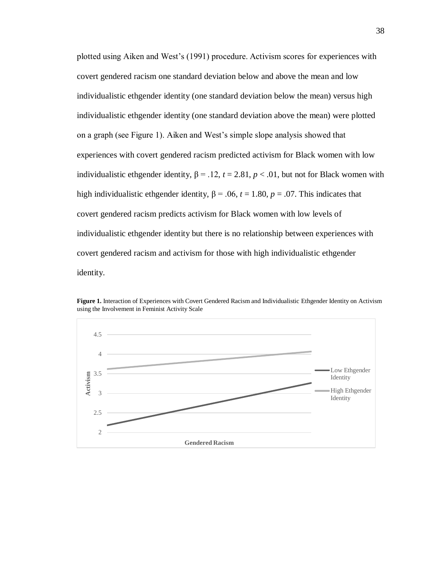plotted using Aiken and West's (1991) procedure. Activism scores for experiences with covert gendered racism one standard deviation below and above the mean and low individualistic ethgender identity (one standard deviation below the mean) versus high individualistic ethgender identity (one standard deviation above the mean) were plotted on a graph (see Figure 1). Aiken and West's simple slope analysis showed that experiences with covert gendered racism predicted activism for Black women with low individualistic ethgender identity,  $β = .12$ ,  $t = 2.81$ ,  $p < .01$ , but not for Black women with high individualistic ethgender identity,  $\beta = .06$ ,  $t = 1.80$ ,  $p = .07$ . This indicates that covert gendered racism predicts activism for Black women with low levels of individualistic ethgender identity but there is no relationship between experiences with covert gendered racism and activism for those with high individualistic ethgender identity.



**Figure 1.** Interaction of Experiences with Covert Gendered Racism and Individualistic Ethgender Identity on Activism using the Involvement in Feminist Activity Scale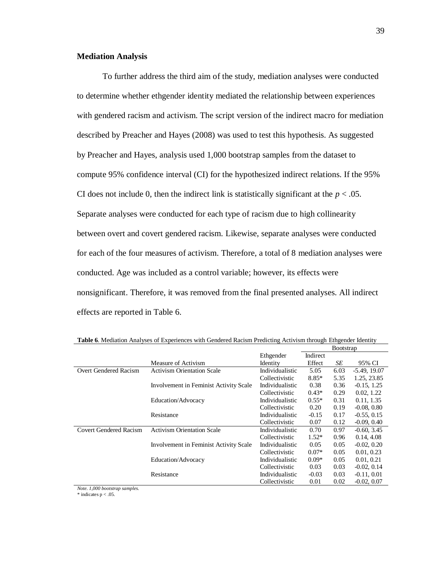### **Mediation Analysis**

To further address the third aim of the study, mediation analyses were conducted to determine whether ethgender identity mediated the relationship between experiences with gendered racism and activism. The script version of the indirect macro for mediation described by Preacher and Hayes (2008) was used to test this hypothesis. As suggested by Preacher and Hayes, analysis used 1,000 bootstrap samples from the dataset to compute 95% confidence interval (CI) for the hypothesized indirect relations. If the 95% CI does not include 0, then the indirect link is statistically significant at the  $p < .05$ . Separate analyses were conducted for each type of racism due to high collinearity between overt and covert gendered racism. Likewise, separate analyses were conducted for each of the four measures of activism. Therefore, a total of 8 mediation analyses were conducted. Age was included as a control variable; however, its effects were nonsignificant. Therefore, it was removed from the final presented analyses. All indirect effects are reported in Table 6.

|                        |                                        |                 | <b>B</b> ootstrap |      |                |
|------------------------|----------------------------------------|-----------------|-------------------|------|----------------|
|                        |                                        | Ethgender       | Indirect          |      |                |
|                        | Measure of Activism                    | Identity        | Effect            | SE   | 95% CI         |
| Overt Gendered Racism  | <b>Activism Orientation Scale</b>      | Individualistic | 5.05              | 6.03 | $-5.49, 19.07$ |
|                        |                                        | Collectivistic  | $8.85*$           | 5.35 | 1.25, 23.85    |
|                        | Involvement in Feminist Activity Scale | Individualistic | 0.38              | 0.36 | $-0.15, 1.25$  |
|                        |                                        | Collectivistic  | $0.43*$           | 0.29 | 0.02, 1.22     |
|                        | Education/Advocacy                     | Individualistic | $0.55*$           | 0.31 | 0.11, 1.35     |
|                        |                                        | Collectivistic  | 0.20              | 0.19 | $-0.08, 0.80$  |
|                        | Resistance                             | Individualistic | $-0.15$           | 0.17 | $-0.55, 0.15$  |
|                        |                                        | Collectivistic  | 0.07              | 0.12 | $-0.09, 0.40$  |
| Covert Gendered Racism | <b>Activism Orientation Scale</b>      | Individualistic | 0.70              | 0.97 | $-0.60, 3.45$  |
|                        |                                        | Collectivistic  | $1.52*$           | 0.96 | 0.14, 4.08     |
|                        | Involvement in Feminist Activity Scale | Individualistic | 0.05              | 0.05 | $-0.02, 0.20$  |
|                        |                                        | Collectivistic  | $0.07*$           | 0.05 | 0.01, 0.23     |
|                        | Education/Advocacy                     | Individualistic | $0.09*$           | 0.05 | 0.01, 0.21     |
|                        |                                        | Collectivistic  | 0.03              | 0.03 | $-0.02, 0.14$  |
|                        | Resistance                             | Individualistic | $-0.03$           | 0.03 | $-0.11, 0.01$  |
|                        |                                        | Collectivistic  | 0.01              | 0.02 | $-0.02, 0.07$  |

**Table 6**. Mediation Analyses of Experiences with Gendered Racism Predicting Activism through Ethgender Identity

*Note. 1,000 bootstrap samples.* 

 $*$  indicates  $p < .05$ .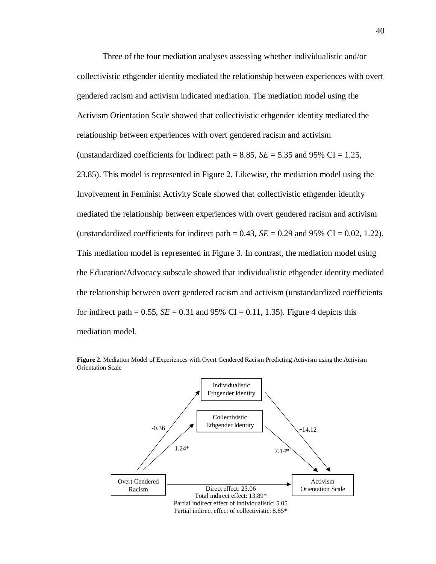Three of the four mediation analyses assessing whether individualistic and/or collectivistic ethgender identity mediated the relationship between experiences with overt gendered racism and activism indicated mediation. The mediation model using the Activism Orientation Scale showed that collectivistic ethgender identity mediated the relationship between experiences with overt gendered racism and activism (unstandardized coefficients for indirect path  $= 8.85$ , *SE*  $= 5.35$  and 95% CI  $= 1.25$ , 23.85). This model is represented in Figure 2. Likewise, the mediation model using the Involvement in Feminist Activity Scale showed that collectivistic ethgender identity mediated the relationship between experiences with overt gendered racism and activism (unstandardized coefficients for indirect path  $= 0.43$ ,  $SE = 0.29$  and 95% CI  $= 0.02$ , 1.22). This mediation model is represented in Figure 3. In contrast, the mediation model using the Education/Advocacy subscale showed that individualistic ethgender identity mediated the relationship between overt gendered racism and activism (unstandardized coefficients for indirect path =  $0.55$ ,  $SE = 0.31$  and 95% CI = 0.11, 1.35). Figure 4 depicts this mediation model.



**Figure 2**. Mediation Model of Experiences with Overt Gendered Racism Predicting Activism using the Activism Orientation Scale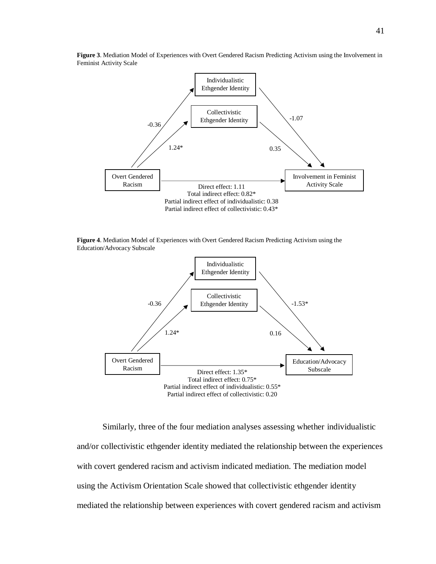

**Figure 3**. Mediation Model of Experiences with Overt Gendered Racism Predicting Activism using the Involvement in Feminist Activity Scale

**Figure 4**. Mediation Model of Experiences with Overt Gendered Racism Predicting Activism using the Education/Advocacy Subscale



Similarly, three of the four mediation analyses assessing whether individualistic and/or collectivistic ethgender identity mediated the relationship between the experiences with covert gendered racism and activism indicated mediation. The mediation model using the Activism Orientation Scale showed that collectivistic ethgender identity mediated the relationship between experiences with covert gendered racism and activism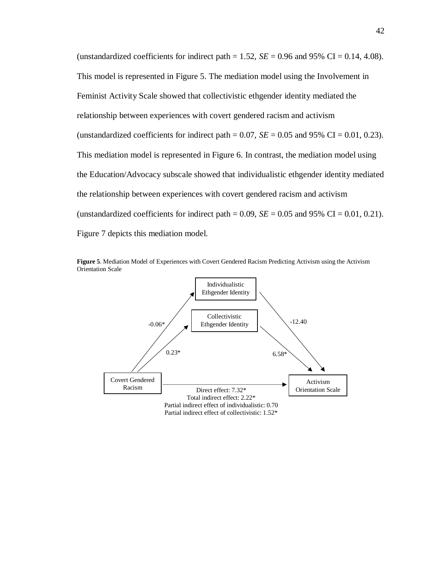(unstandardized coefficients for indirect path  $= 1.52$ , *SE*  $= 0.96$  and 95% CI  $= 0.14$ , 4.08). This model is represented in Figure 5. The mediation model using the Involvement in Feminist Activity Scale showed that collectivistic ethgender identity mediated the relationship between experiences with covert gendered racism and activism (unstandardized coefficients for indirect path  $= 0.07$ ,  $SE = 0.05$  and 95% CI  $= 0.01$ , 0.23). This mediation model is represented in Figure 6. In contrast, the mediation model using the Education/Advocacy subscale showed that individualistic ethgender identity mediated the relationship between experiences with covert gendered racism and activism (unstandardized coefficients for indirect path =  $0.09$ ,  $SE = 0.05$  and 95% CI =  $0.01$ , 0.21). Figure 7 depicts this mediation model.



**Figure 5**. Mediation Model of Experiences with Covert Gendered Racism Predicting Activism using the Activism Orientation Scale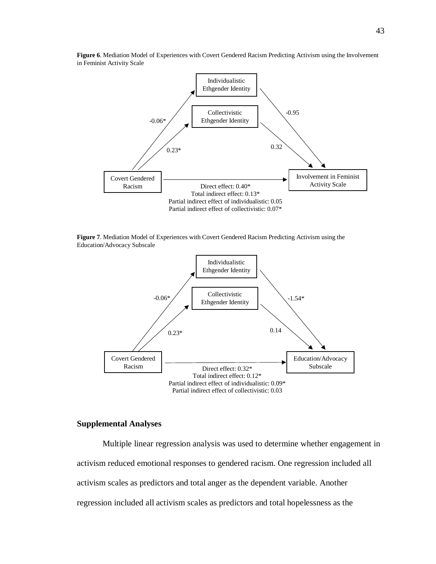

**Figure 6**. Mediation Model of Experiences with Covert Gendered Racism Predicting Activism using the Involvement in Feminist Activity Scale

**Figure 7**. Mediation Model of Experiences with Covert Gendered Racism Predicting Activism using the Education/Advocacy Subscale



# **Supplemental Analyses**

Multiple linear regression analysis was used to determine whether engagement in activism reduced emotional responses to gendered racism. One regression included all activism scales as predictors and total anger as the dependent variable. Another regression included all activism scales as predictors and total hopelessness as the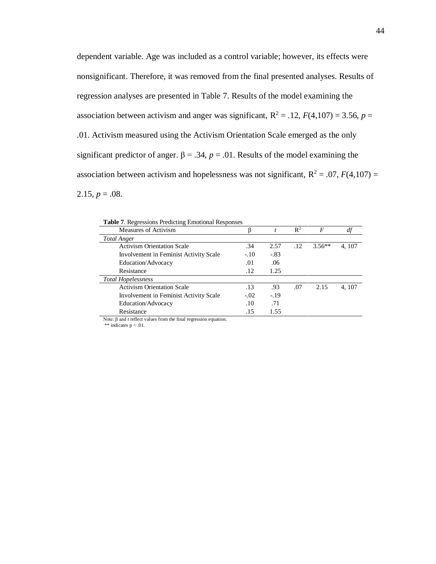dependent variable. Age was included as a control variable; however, its effects were nonsignificant. Therefore, it was removed from the final presented analyses. Results of regression analyses are presented in Table 7. Results of the model examining the association between activism and anger was significant,  $R^2 = .12$ ,  $F(4,107) = 3.56$ ,  $p =$ .01. Activism measured using the Activism Orientation Scale emerged as the only significant predictor of anger.  $\beta$  = .34,  $p$  = .01. Results of the model examining the association between activism and hopelessness was not significant,  $R^2 = .07$ ,  $F(4,107) =$  $2.15, p = .08.$ 

| <b>Table 7.</b> Regressions Predicting Emotional Responses |        |        |                |          |        |
|------------------------------------------------------------|--------|--------|----------------|----------|--------|
| Measures of Activism                                       |        |        | $\mathbb{R}^2$ | F        |        |
| <b>Total Anger</b>                                         |        |        |                |          |        |
| <b>Activism Orientation Scale</b>                          | .34    | 2.57   | .12            | $3.56**$ | 4, 107 |
| Involvement in Feminist Activity Scale                     | $-.10$ | $-.83$ |                |          |        |
| Education/Advocacy                                         | .01    | .06    |                |          |        |
| Resistance                                                 | .12    | 1.25   |                |          |        |
| <b>Total Hopelessness</b>                                  |        |        |                |          |        |
| <b>Activism Orientation Scale</b>                          | .13    | .93    | .07            | 2.15     | 4.107  |
| Involvement in Feminist Activity Scale                     | $-.02$ | $-19$  |                |          |        |
| Education/Advocacy                                         | .10    | .71    |                |          |        |
| Resistance                                                 | .15    | 1.55   |                |          |        |

**Table 7**. Regressions Predicting Emotional Responses

Note: β and *t* reflect values from the final regression equation.

\*\* indicates  $p < .01$ .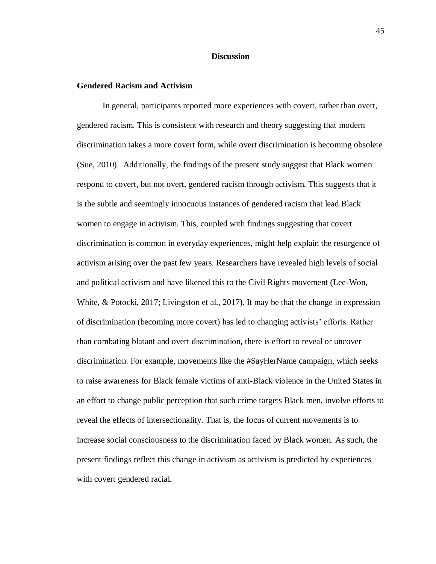## **Discussion**

## **Gendered Racism and Activism**

In general, participants reported more experiences with covert, rather than overt, gendered racism. This is consistent with research and theory suggesting that modern discrimination takes a more covert form, while overt discrimination is becoming obsolete (Sue, 2010). Additionally, the findings of the present study suggest that Black women respond to covert, but not overt, gendered racism through activism. This suggests that it is the subtle and seemingly innocuous instances of gendered racism that lead Black women to engage in activism. This, coupled with findings suggesting that covert discrimination is common in everyday experiences, might help explain the resurgence of activism arising over the past few years. Researchers have revealed high levels of social and political activism and have likened this to the Civil Rights movement (Lee-Won, White, & Potocki, 2017; Livingston et al., 2017). It may be that the change in expression of discrimination (becoming more covert) has led to changing activists' efforts. Rather than combating blatant and overt discrimination, there is effort to reveal or uncover discrimination. For example, movements like the #SayHerName campaign, which seeks to raise awareness for Black female victims of anti-Black violence in the United States in an effort to change public perception that such crime targets Black men, involve efforts to reveal the effects of intersectionality. That is, the focus of current movements is to increase social consciousness to the discrimination faced by Black women. As such, the present findings reflect this change in activism as activism is predicted by experiences with covert gendered racial.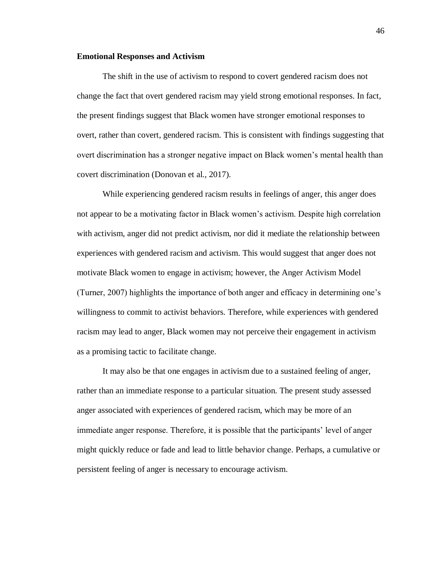### **Emotional Responses and Activism**

The shift in the use of activism to respond to covert gendered racism does not change the fact that overt gendered racism may yield strong emotional responses. In fact, the present findings suggest that Black women have stronger emotional responses to overt, rather than covert, gendered racism. This is consistent with findings suggesting that overt discrimination has a stronger negative impact on Black women's mental health than covert discrimination (Donovan et al., 2017).

While experiencing gendered racism results in feelings of anger, this anger does not appear to be a motivating factor in Black women's activism. Despite high correlation with activism, anger did not predict activism, nor did it mediate the relationship between experiences with gendered racism and activism. This would suggest that anger does not motivate Black women to engage in activism; however, the Anger Activism Model (Turner, 2007) highlights the importance of both anger and efficacy in determining one's willingness to commit to activist behaviors. Therefore, while experiences with gendered racism may lead to anger, Black women may not perceive their engagement in activism as a promising tactic to facilitate change.

It may also be that one engages in activism due to a sustained feeling of anger, rather than an immediate response to a particular situation. The present study assessed anger associated with experiences of gendered racism, which may be more of an immediate anger response. Therefore, it is possible that the participants' level of anger might quickly reduce or fade and lead to little behavior change. Perhaps, a cumulative or persistent feeling of anger is necessary to encourage activism.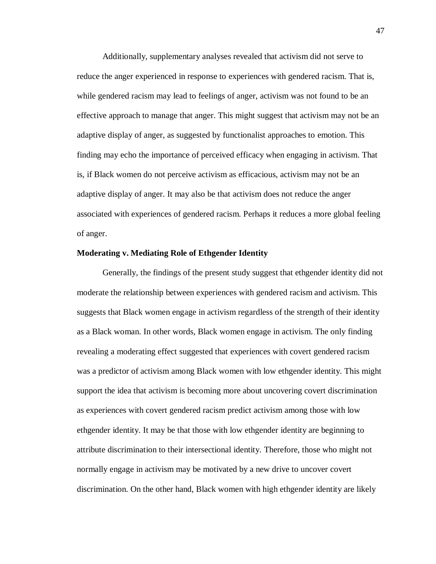Additionally, supplementary analyses revealed that activism did not serve to reduce the anger experienced in response to experiences with gendered racism. That is, while gendered racism may lead to feelings of anger, activism was not found to be an effective approach to manage that anger. This might suggest that activism may not be an adaptive display of anger, as suggested by functionalist approaches to emotion. This finding may echo the importance of perceived efficacy when engaging in activism. That is, if Black women do not perceive activism as efficacious, activism may not be an adaptive display of anger. It may also be that activism does not reduce the anger associated with experiences of gendered racism. Perhaps it reduces a more global feeling of anger.

#### **Moderating v. Mediating Role of Ethgender Identity**

Generally, the findings of the present study suggest that ethgender identity did not moderate the relationship between experiences with gendered racism and activism. This suggests that Black women engage in activism regardless of the strength of their identity as a Black woman. In other words, Black women engage in activism. The only finding revealing a moderating effect suggested that experiences with covert gendered racism was a predictor of activism among Black women with low ethgender identity. This might support the idea that activism is becoming more about uncovering covert discrimination as experiences with covert gendered racism predict activism among those with low ethgender identity. It may be that those with low ethgender identity are beginning to attribute discrimination to their intersectional identity. Therefore, those who might not normally engage in activism may be motivated by a new drive to uncover covert discrimination. On the other hand, Black women with high ethgender identity are likely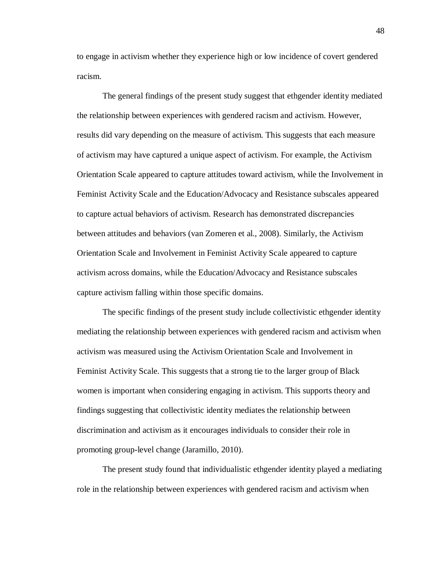to engage in activism whether they experience high or low incidence of covert gendered racism.

The general findings of the present study suggest that ethgender identity mediated the relationship between experiences with gendered racism and activism. However, results did vary depending on the measure of activism. This suggests that each measure of activism may have captured a unique aspect of activism. For example, the Activism Orientation Scale appeared to capture attitudes toward activism, while the Involvement in Feminist Activity Scale and the Education/Advocacy and Resistance subscales appeared to capture actual behaviors of activism. Research has demonstrated discrepancies between attitudes and behaviors (van Zomeren et al., 2008). Similarly, the Activism Orientation Scale and Involvement in Feminist Activity Scale appeared to capture activism across domains, while the Education/Advocacy and Resistance subscales capture activism falling within those specific domains.

The specific findings of the present study include collectivistic ethgender identity mediating the relationship between experiences with gendered racism and activism when activism was measured using the Activism Orientation Scale and Involvement in Feminist Activity Scale. This suggests that a strong tie to the larger group of Black women is important when considering engaging in activism. This supports theory and findings suggesting that collectivistic identity mediates the relationship between discrimination and activism as it encourages individuals to consider their role in promoting group-level change (Jaramillo, 2010).

The present study found that individualistic ethgender identity played a mediating role in the relationship between experiences with gendered racism and activism when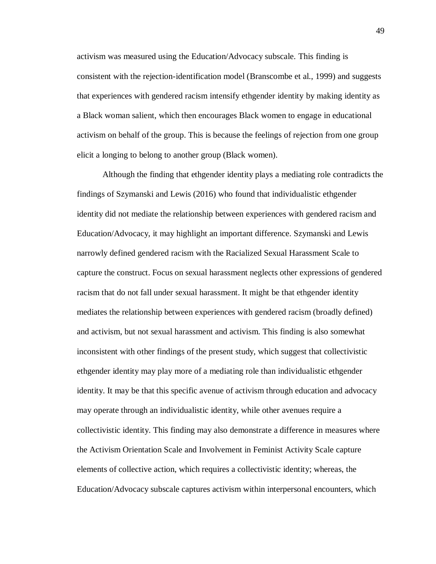activism was measured using the Education/Advocacy subscale. This finding is consistent with the rejection-identification model (Branscombe et al., 1999) and suggests that experiences with gendered racism intensify ethgender identity by making identity as a Black woman salient, which then encourages Black women to engage in educational activism on behalf of the group. This is because the feelings of rejection from one group elicit a longing to belong to another group (Black women).

Although the finding that ethgender identity plays a mediating role contradicts the findings of Szymanski and Lewis (2016) who found that individualistic ethgender identity did not mediate the relationship between experiences with gendered racism and Education/Advocacy, it may highlight an important difference. Szymanski and Lewis narrowly defined gendered racism with the Racialized Sexual Harassment Scale to capture the construct. Focus on sexual harassment neglects other expressions of gendered racism that do not fall under sexual harassment. It might be that ethgender identity mediates the relationship between experiences with gendered racism (broadly defined) and activism, but not sexual harassment and activism. This finding is also somewhat inconsistent with other findings of the present study, which suggest that collectivistic ethgender identity may play more of a mediating role than individualistic ethgender identity. It may be that this specific avenue of activism through education and advocacy may operate through an individualistic identity, while other avenues require a collectivistic identity. This finding may also demonstrate a difference in measures where the Activism Orientation Scale and Involvement in Feminist Activity Scale capture elements of collective action, which requires a collectivistic identity; whereas, the Education/Advocacy subscale captures activism within interpersonal encounters, which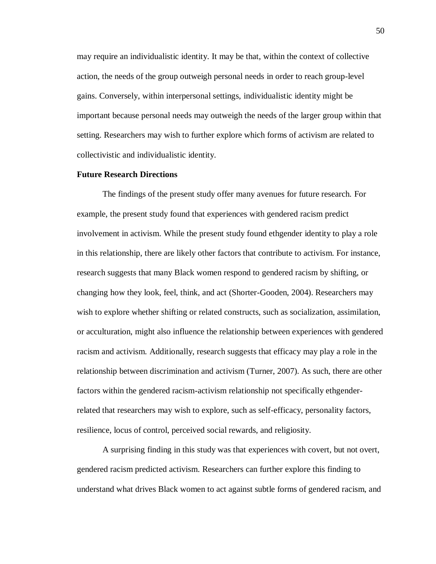may require an individualistic identity. It may be that, within the context of collective action, the needs of the group outweigh personal needs in order to reach group-level gains. Conversely, within interpersonal settings, individualistic identity might be important because personal needs may outweigh the needs of the larger group within that setting. Researchers may wish to further explore which forms of activism are related to collectivistic and individualistic identity.

# **Future Research Directions**

The findings of the present study offer many avenues for future research. For example, the present study found that experiences with gendered racism predict involvement in activism. While the present study found ethgender identity to play a role in this relationship, there are likely other factors that contribute to activism. For instance, research suggests that many Black women respond to gendered racism by shifting, or changing how they look, feel, think, and act (Shorter-Gooden, 2004). Researchers may wish to explore whether shifting or related constructs, such as socialization, assimilation, or acculturation, might also influence the relationship between experiences with gendered racism and activism. Additionally, research suggests that efficacy may play a role in the relationship between discrimination and activism (Turner, 2007). As such, there are other factors within the gendered racism-activism relationship not specifically ethgenderrelated that researchers may wish to explore, such as self-efficacy, personality factors, resilience, locus of control, perceived social rewards, and religiosity.

A surprising finding in this study was that experiences with covert, but not overt, gendered racism predicted activism. Researchers can further explore this finding to understand what drives Black women to act against subtle forms of gendered racism, and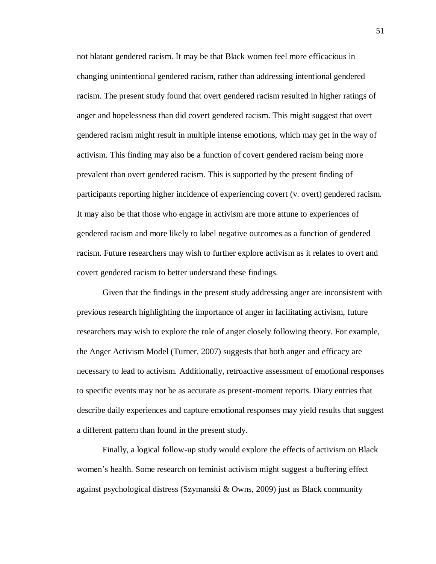not blatant gendered racism. It may be that Black women feel more efficacious in changing unintentional gendered racism, rather than addressing intentional gendered racism. The present study found that overt gendered racism resulted in higher ratings of anger and hopelessness than did covert gendered racism. This might suggest that overt gendered racism might result in multiple intense emotions, which may get in the way of activism. This finding may also be a function of covert gendered racism being more prevalent than overt gendered racism. This is supported by the present finding of participants reporting higher incidence of experiencing covert (v. overt) gendered racism. It may also be that those who engage in activism are more attune to experiences of gendered racism and more likely to label negative outcomes as a function of gendered racism. Future researchers may wish to further explore activism as it relates to overt and covert gendered racism to better understand these findings.

Given that the findings in the present study addressing anger are inconsistent with previous research highlighting the importance of anger in facilitating activism, future researchers may wish to explore the role of anger closely following theory. For example, the Anger Activism Model (Turner, 2007) suggests that both anger and efficacy are necessary to lead to activism. Additionally, retroactive assessment of emotional responses to specific events may not be as accurate as present-moment reports. Diary entries that describe daily experiences and capture emotional responses may yield results that suggest a different pattern than found in the present study.

Finally, a logical follow-up study would explore the effects of activism on Black women's health. Some research on feminist activism might suggest a buffering effect against psychological distress (Szymanski & Owns, 2009) just as Black community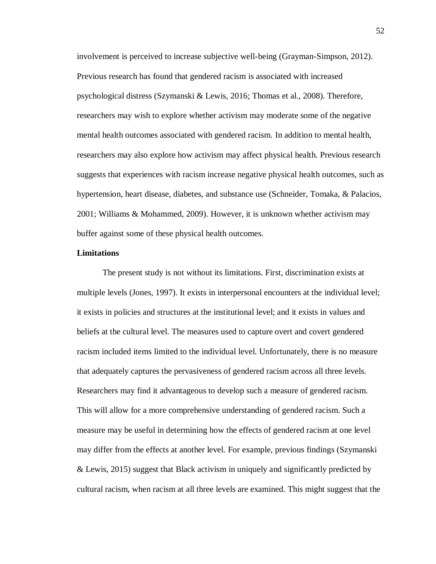involvement is perceived to increase subjective well-being (Grayman-Simpson, 2012). Previous research has found that gendered racism is associated with increased psychological distress (Szymanski & Lewis, 2016; Thomas et al., 2008). Therefore, researchers may wish to explore whether activism may moderate some of the negative mental health outcomes associated with gendered racism. In addition to mental health, researchers may also explore how activism may affect physical health. Previous research suggests that experiences with racism increase negative physical health outcomes, such as hypertension, heart disease, diabetes, and substance use (Schneider, Tomaka, & Palacios, 2001; Williams & Mohammed, 2009). However, it is unknown whether activism may buffer against some of these physical health outcomes.

## **Limitations**

The present study is not without its limitations. First, discrimination exists at multiple levels (Jones, 1997). It exists in interpersonal encounters at the individual level; it exists in policies and structures at the institutional level; and it exists in values and beliefs at the cultural level. The measures used to capture overt and covert gendered racism included items limited to the individual level. Unfortunately, there is no measure that adequately captures the pervasiveness of gendered racism across all three levels. Researchers may find it advantageous to develop such a measure of gendered racism. This will allow for a more comprehensive understanding of gendered racism. Such a measure may be useful in determining how the effects of gendered racism at one level may differ from the effects at another level. For example, previous findings (Szymanski & Lewis, 2015) suggest that Black activism in uniquely and significantly predicted by cultural racism, when racism at all three levels are examined. This might suggest that the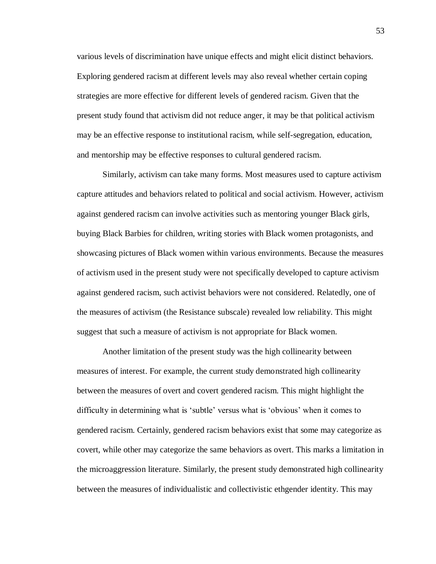various levels of discrimination have unique effects and might elicit distinct behaviors. Exploring gendered racism at different levels may also reveal whether certain coping strategies are more effective for different levels of gendered racism. Given that the present study found that activism did not reduce anger, it may be that political activism may be an effective response to institutional racism, while self-segregation, education, and mentorship may be effective responses to cultural gendered racism.

Similarly, activism can take many forms. Most measures used to capture activism capture attitudes and behaviors related to political and social activism. However, activism against gendered racism can involve activities such as mentoring younger Black girls, buying Black Barbies for children, writing stories with Black women protagonists, and showcasing pictures of Black women within various environments. Because the measures of activism used in the present study were not specifically developed to capture activism against gendered racism, such activist behaviors were not considered. Relatedly, one of the measures of activism (the Resistance subscale) revealed low reliability. This might suggest that such a measure of activism is not appropriate for Black women.

Another limitation of the present study was the high collinearity between measures of interest. For example, the current study demonstrated high collinearity between the measures of overt and covert gendered racism. This might highlight the difficulty in determining what is 'subtle' versus what is 'obvious' when it comes to gendered racism. Certainly, gendered racism behaviors exist that some may categorize as covert, while other may categorize the same behaviors as overt. This marks a limitation in the microaggression literature. Similarly, the present study demonstrated high collinearity between the measures of individualistic and collectivistic ethgender identity. This may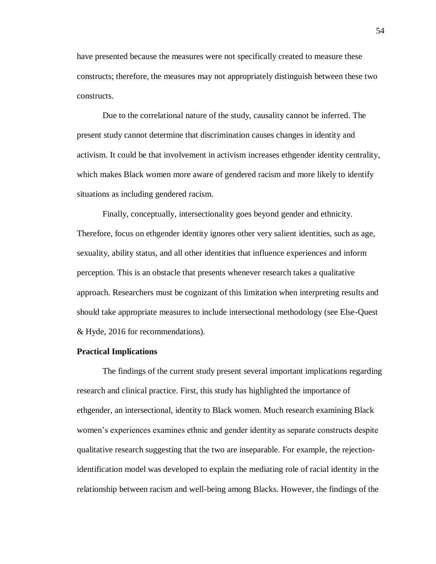have presented because the measures were not specifically created to measure these constructs; therefore, the measures may not appropriately distinguish between these two constructs.

Due to the correlational nature of the study, causality cannot be inferred. The present study cannot determine that discrimination causes changes in identity and activism. It could be that involvement in activism increases ethgender identity centrality, which makes Black women more aware of gendered racism and more likely to identify situations as including gendered racism.

Finally, conceptually, intersectionality goes beyond gender and ethnicity. Therefore, focus on ethgender identity ignores other very salient identities, such as age, sexuality, ability status, and all other identities that influence experiences and inform perception. This is an obstacle that presents whenever research takes a qualitative approach. Researchers must be cognizant of this limitation when interpreting results and should take appropriate measures to include intersectional methodology (see Else-Quest & Hyde, 2016 for recommendations).

#### **Practical Implications**

The findings of the current study present several important implications regarding research and clinical practice. First, this study has highlighted the importance of ethgender, an intersectional, identity to Black women. Much research examining Black women's experiences examines ethnic and gender identity as separate constructs despite qualitative research suggesting that the two are inseparable. For example, the rejectionidentification model was developed to explain the mediating role of racial identity in the relationship between racism and well-being among Blacks. However, the findings of the

54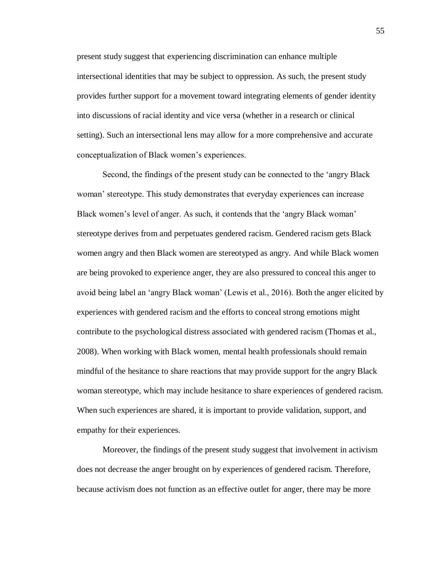present study suggest that experiencing discrimination can enhance multiple intersectional identities that may be subject to oppression. As such, the present study provides further support for a movement toward integrating elements of gender identity into discussions of racial identity and vice versa (whether in a research or clinical setting). Such an intersectional lens may allow for a more comprehensive and accurate conceptualization of Black women's experiences.

Second, the findings of the present study can be connected to the 'angry Black woman' stereotype. This study demonstrates that everyday experiences can increase Black women's level of anger. As such, it contends that the 'angry Black woman' stereotype derives from and perpetuates gendered racism. Gendered racism gets Black women angry and then Black women are stereotyped as angry. And while Black women are being provoked to experience anger, they are also pressured to conceal this anger to avoid being label an 'angry Black woman' (Lewis et al., 2016). Both the anger elicited by experiences with gendered racism and the efforts to conceal strong emotions might contribute to the psychological distress associated with gendered racism (Thomas et al., 2008). When working with Black women, mental health professionals should remain mindful of the hesitance to share reactions that may provide support for the angry Black woman stereotype, which may include hesitance to share experiences of gendered racism. When such experiences are shared, it is important to provide validation, support, and empathy for their experiences.

Moreover, the findings of the present study suggest that involvement in activism does not decrease the anger brought on by experiences of gendered racism. Therefore, because activism does not function as an effective outlet for anger, there may be more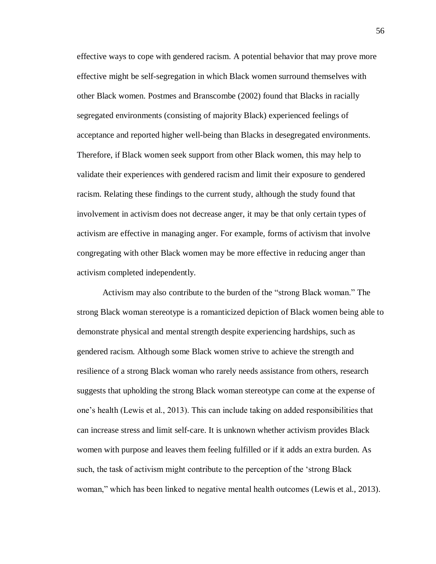effective ways to cope with gendered racism. A potential behavior that may prove more effective might be self-segregation in which Black women surround themselves with other Black women. Postmes and Branscombe (2002) found that Blacks in racially segregated environments (consisting of majority Black) experienced feelings of acceptance and reported higher well-being than Blacks in desegregated environments. Therefore, if Black women seek support from other Black women, this may help to validate their experiences with gendered racism and limit their exposure to gendered racism. Relating these findings to the current study, although the study found that involvement in activism does not decrease anger, it may be that only certain types of activism are effective in managing anger. For example, forms of activism that involve congregating with other Black women may be more effective in reducing anger than activism completed independently.

Activism may also contribute to the burden of the "strong Black woman." The strong Black woman stereotype is a romanticized depiction of Black women being able to demonstrate physical and mental strength despite experiencing hardships, such as gendered racism. Although some Black women strive to achieve the strength and resilience of a strong Black woman who rarely needs assistance from others, research suggests that upholding the strong Black woman stereotype can come at the expense of one's health (Lewis et al., 2013). This can include taking on added responsibilities that can increase stress and limit self-care. It is unknown whether activism provides Black women with purpose and leaves them feeling fulfilled or if it adds an extra burden. As such, the task of activism might contribute to the perception of the 'strong Black woman," which has been linked to negative mental health outcomes (Lewis et al., 2013).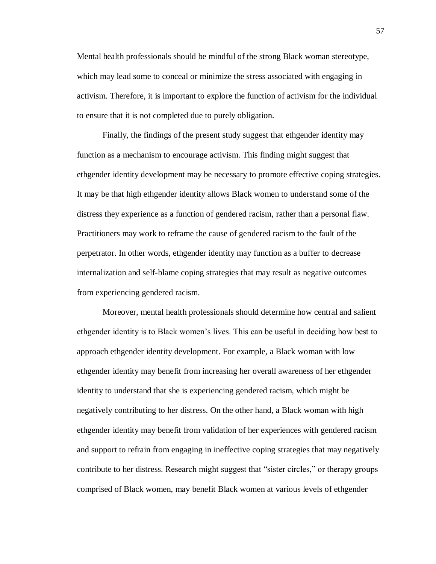Mental health professionals should be mindful of the strong Black woman stereotype, which may lead some to conceal or minimize the stress associated with engaging in activism. Therefore, it is important to explore the function of activism for the individual to ensure that it is not completed due to purely obligation.

Finally, the findings of the present study suggest that ethgender identity may function as a mechanism to encourage activism. This finding might suggest that ethgender identity development may be necessary to promote effective coping strategies. It may be that high ethgender identity allows Black women to understand some of the distress they experience as a function of gendered racism, rather than a personal flaw. Practitioners may work to reframe the cause of gendered racism to the fault of the perpetrator. In other words, ethgender identity may function as a buffer to decrease internalization and self-blame coping strategies that may result as negative outcomes from experiencing gendered racism.

Moreover, mental health professionals should determine how central and salient ethgender identity is to Black women's lives. This can be useful in deciding how best to approach ethgender identity development. For example, a Black woman with low ethgender identity may benefit from increasing her overall awareness of her ethgender identity to understand that she is experiencing gendered racism, which might be negatively contributing to her distress. On the other hand, a Black woman with high ethgender identity may benefit from validation of her experiences with gendered racism and support to refrain from engaging in ineffective coping strategies that may negatively contribute to her distress. Research might suggest that "sister circles," or therapy groups comprised of Black women, may benefit Black women at various levels of ethgender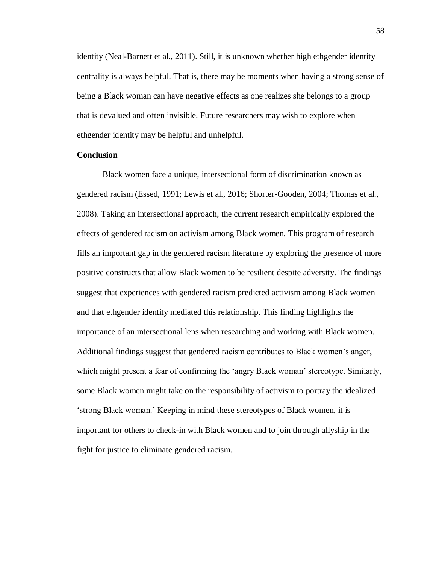identity (Neal-Barnett et al., 2011). Still, it is unknown whether high ethgender identity centrality is always helpful. That is, there may be moments when having a strong sense of being a Black woman can have negative effects as one realizes she belongs to a group that is devalued and often invisible. Future researchers may wish to explore when ethgender identity may be helpful and unhelpful.

# **Conclusion**

Black women face a unique, intersectional form of discrimination known as gendered racism (Essed, 1991; Lewis et al., 2016; Shorter-Gooden, 2004; Thomas et al., 2008). Taking an intersectional approach, the current research empirically explored the effects of gendered racism on activism among Black women. This program of research fills an important gap in the gendered racism literature by exploring the presence of more positive constructs that allow Black women to be resilient despite adversity. The findings suggest that experiences with gendered racism predicted activism among Black women and that ethgender identity mediated this relationship. This finding highlights the importance of an intersectional lens when researching and working with Black women. Additional findings suggest that gendered racism contributes to Black women's anger, which might present a fear of confirming the 'angry Black woman' stereotype. Similarly, some Black women might take on the responsibility of activism to portray the idealized 'strong Black woman.' Keeping in mind these stereotypes of Black women, it is important for others to check-in with Black women and to join through allyship in the fight for justice to eliminate gendered racism.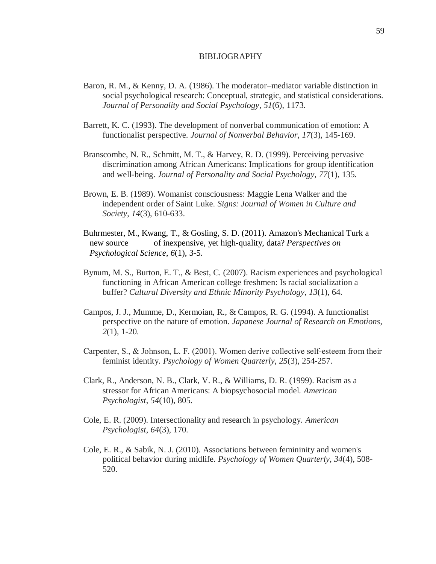### BIBLIOGRAPHY

- Baron, R. M., & Kenny, D. A. (1986). The moderator–mediator variable distinction in social psychological research: Conceptual, strategic, and statistical considerations. *Journal of Personality and Social Psychology*, *51*(6), 1173.
- Barrett, K. C. (1993). The development of nonverbal communication of emotion: A functionalist perspective. *Journal of Nonverbal Behavior*, *17*(3), 145-169.
- Branscombe, N. R., Schmitt, M. T., & Harvey, R. D. (1999). Perceiving pervasive discrimination among African Americans: Implications for group identification and well-being. *Journal of Personality and Social Psychology*, *77*(1), 135.
- Brown, E. B. (1989). Womanist consciousness: Maggie Lena Walker and the independent order of Saint Luke. *Signs: Journal of Women in Culture and Society*, *14*(3), 610-633.
- Buhrmester, M., Kwang, T., & Gosling, S. D. (2011). Amazon's Mechanical Turk a new source of inexpensive, yet high-quality, data? *Perspectives on Psychological Science*, *6*(1), 3-5.
- Bynum, M. S., Burton, E. T., & Best, C. (2007). Racism experiences and psychological functioning in African American college freshmen: Is racial socialization a buffer? *Cultural Diversity and Ethnic Minority Psychology*, *13*(1), 64.
- Campos, J. J., Mumme, D., Kermoian, R., & Campos, R. G. (1994). A functionalist perspective on the nature of emotion. *Japanese Journal of Research on Emotions*, *2*(1), 1-20.
- Carpenter, S., & Johnson, L. F. (2001). Women derive collective self‐esteem from their feminist identity. *Psychology of Women Quarterly*, *25*(3), 254-257.
- Clark, R., Anderson, N. B., Clark, V. R., & Williams, D. R. (1999). Racism as a stressor for African Americans: A biopsychosocial model. *American Psychologist*, *54*(10), 805.
- Cole, E. R. (2009). Intersectionality and research in psychology. *American Psychologist*, *64*(3), 170.
- Cole, E. R., & Sabik, N. J. (2010). Associations between femininity and women's political behavior during midlife. *Psychology of Women Quarterly*, *34*(4), 508- 520.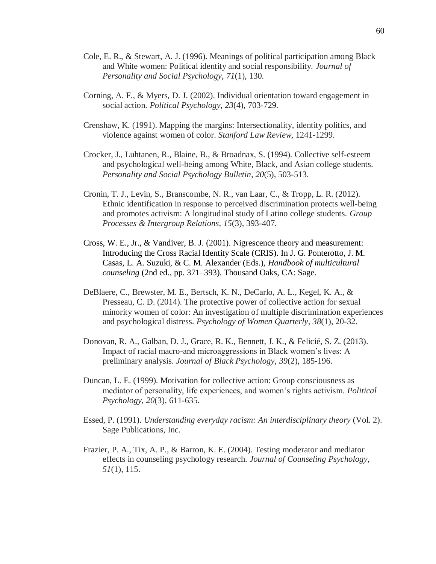- Cole, E. R., & Stewart, A. J. (1996). Meanings of political participation among Black and White women: Political identity and social responsibility. *Journal of Personality and Social Psychology*, *71*(1), 130.
- Corning, A. F., & Myers, D. J. (2002). Individual orientation toward engagement in social action. *Political Psychology*, *23*(4), 703-729.
- Crenshaw, K. (1991). Mapping the margins: Intersectionality, identity politics, and violence against women of color. *Stanford Law Review*, 1241-1299.
- Crocker, J., Luhtanen, R., Blaine, B., & Broadnax, S. (1994). Collective self-esteem and psychological well-being among White, Black, and Asian college students. *Personality and Social Psychology Bulletin*, *20*(5), 503-513.
- Cronin, T. J., Levin, S., Branscombe, N. R., van Laar, C., & Tropp, L. R. (2012). Ethnic identification in response to perceived discrimination protects well-being and promotes activism: A longitudinal study of Latino college students. *Group Processes & Intergroup Relations*, *15*(3), 393-407.
- Cross, W. E., Jr., & Vandiver, B. J. (2001). Nigrescence theory and measurement: Introducing the Cross Racial Identity Scale (CRIS). In J. G. Ponterotto, J. M. Casas, L. A. Suzuki, & C. M. Alexander (Eds.), *Handbook of multicultural counseling* (2nd ed., pp. 371–393). Thousand Oaks, CA: Sage.
- DeBlaere, C., Brewster, M. E., Bertsch, K. N., DeCarlo, A. L., Kegel, K. A., & Presseau, C. D. (2014). The protective power of collective action for sexual minority women of color: An investigation of multiple discrimination experiences and psychological distress. *Psychology of Women Quarterly*, *38*(1), 20-32.
- Donovan, R. A., Galban, D. J., Grace, R. K., Bennett, J. K., & Felicié, S. Z. (2013). Impact of racial macro-and microaggressions in Black women's lives: A preliminary analysis. *Journal of Black Psychology*, *39*(2), 185-196.
- Duncan, L. E. (1999). Motivation for collective action: Group consciousness as mediator of personality, life experiences, and women's rights activism. *Political Psychology*, *20*(3), 611-635.
- Essed, P. (1991). *Understanding everyday racism: An interdisciplinary theory* (Vol. 2). Sage Publications, Inc.
- Frazier, P. A., Tix, A. P., & Barron, K. E. (2004). Testing moderator and mediator effects in counseling psychology research. *Journal of Counseling Psychology*, *51*(1), 115.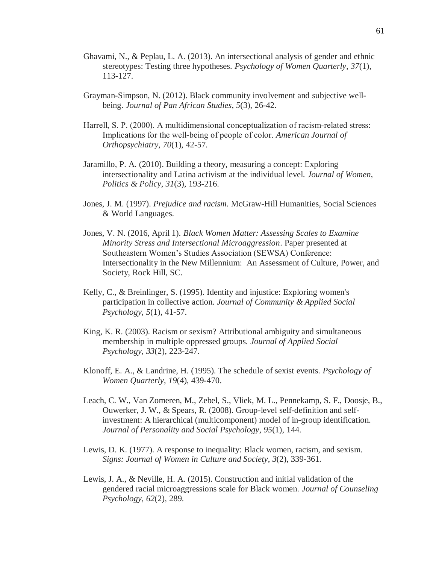- Ghavami, N., & Peplau, L. A. (2013). An intersectional analysis of gender and ethnic stereotypes: Testing three hypotheses. *Psychology of Women Quarterly*, *37*(1), 113-127.
- Grayman-Simpson, N. (2012). Black community involvement and subjective wellbeing. *Journal of Pan African Studies*, *5*(3), 26-42.
- Harrell, S. P. (2000). A multidimensional conceptualization of racism-related stress: Implications for the well‐being of people of color. *American Journal of Orthopsychiatry*, *70*(1), 42-57.
- Jaramillo, P. A. (2010). Building a theory, measuring a concept: Exploring intersectionality and Latina activism at the individual level. *Journal of Women, Politics & Policy*, *31*(3), 193-216.
- Jones, J. M. (1997). *Prejudice and racism*. McGraw-Hill Humanities, Social Sciences & World Languages.
- Jones, V. N. (2016, April 1). *Black Women Matter: Assessing Scales to Examine Minority Stress and Intersectional Microaggression*. Paper presented at Southeastern Women's Studies Association (SEWSA) Conference: Intersectionality in the New Millennium: An Assessment of Culture, Power, and Society, Rock Hill, SC.
- Kelly, C., & Breinlinger, S. (1995). Identity and injustice: Exploring women's participation in collective action. *Journal of Community & Applied Social Psychology*, *5*(1), 41-57.
- King, K. R. (2003). Racism or sexism? Attributional ambiguity and simultaneous membership in multiple oppressed groups. *Journal of Applied Social Psychology*, *33*(2), 223-247.
- Klonoff, E. A., & Landrine, H. (1995). The schedule of sexist events. *Psychology of Women Quarterly*, *19*(4), 439-470.
- Leach, C. W., Van Zomeren, M., Zebel, S., Vliek, M. L., Pennekamp, S. F., Doosje, B., Ouwerker, J. W., & Spears, R. (2008). Group-level self-definition and selfinvestment: A hierarchical (multicomponent) model of in-group identification. *Journal of Personality and Social Psychology*, *95*(1), 144.
- Lewis, D. K. (1977). A response to inequality: Black women, racism, and sexism. *Signs: Journal of Women in Culture and Society*, *3*(2), 339-361.
- Lewis, J. A., & Neville, H. A. (2015). Construction and initial validation of the gendered racial microaggressions scale for Black women. *Journal of Counseling Psychology*, *62*(2), 289.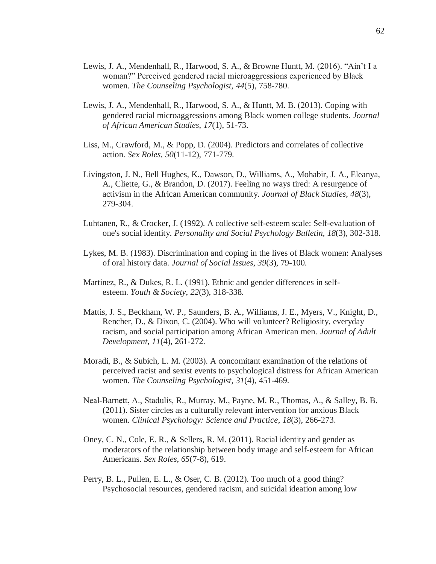- Lewis, J. A., Mendenhall, R., Harwood, S. A., & Browne Huntt, M. (2016). "Ain't I a woman?" Perceived gendered racial microaggressions experienced by Black women. *The Counseling Psychologist*, *44*(5), 758-780.
- Lewis, J. A., Mendenhall, R., Harwood, S. A., & Huntt, M. B. (2013). Coping with gendered racial microaggressions among Black women college students. *Journal of African American Studies*, *17*(1), 51-73.
- Liss, M., Crawford, M., & Popp, D. (2004). Predictors and correlates of collective action. *Sex Roles*, *50*(11-12), 771-779.
- Livingston, J. N., Bell Hughes, K., Dawson, D., Williams, A., Mohabir, J. A., Eleanya, A., Cliette, G., & Brandon, D. (2017). Feeling no ways tired: A resurgence of activism in the African American community. *Journal of Black Studies*, *48*(3), 279-304.
- Luhtanen, R., & Crocker, J. (1992). A collective self-esteem scale: Self-evaluation of one's social identity. *Personality and Social Psychology Bulletin*, *18*(3), 302-318.
- Lykes, M. B. (1983). Discrimination and coping in the lives of Black women: Analyses of oral history data. *Journal of Social Issues*, *39*(3), 79-100.
- Martinez, R., & Dukes, R. L. (1991). Ethnic and gender differences in selfesteem. *Youth & Society*, *22*(3), 318-338.
- Mattis, J. S., Beckham, W. P., Saunders, B. A., Williams, J. E., Myers, V., Knight, D., Rencher, D., & Dixon, C. (2004). Who will volunteer? Religiosity, everyday racism, and social participation among African American men. *Journal of Adult Development*, *11*(4), 261-272.
- Moradi, B., & Subich, L. M. (2003). A concomitant examination of the relations of perceived racist and sexist events to psychological distress for African American women. *The Counseling Psychologist*, *31*(4), 451-469.
- Neal‐Barnett, A., Stadulis, R., Murray, M., Payne, M. R., Thomas, A., & Salley, B. B. (2011). Sister circles as a culturally relevant intervention for anxious Black women. *Clinical Psychology: Science and Practice*, *18*(3), 266-273.
- Oney, C. N., Cole, E. R., & Sellers, R. M. (2011). Racial identity and gender as moderators of the relationship between body image and self-esteem for African Americans. *Sex Roles*, *65*(7-8), 619.
- Perry, B. L., Pullen, E. L., & Oser, C. B. (2012). Too much of a good thing? Psychosocial resources, gendered racism, and suicidal ideation among low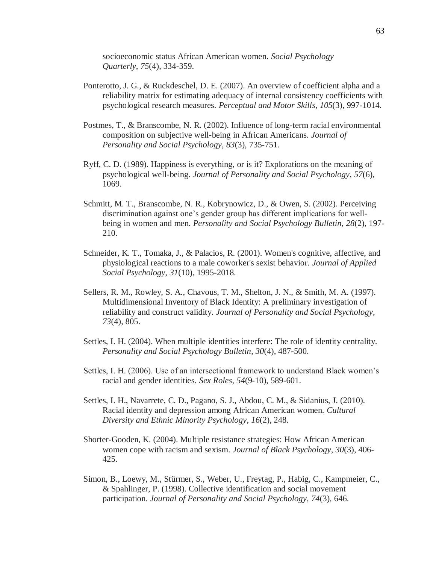socioeconomic status African American women. *Social Psychology Quarterly*, *75*(4), 334-359.

- Ponterotto, J. G., & Ruckdeschel, D. E. (2007). An overview of coefficient alpha and a reliability matrix for estimating adequacy of internal consistency coefficients with psychological research measures. *Perceptual and Motor Skills*, *105*(3), 997-1014.
- Postmes, T., & Branscombe, N. R. (2002). Influence of long-term racial environmental composition on subjective well-being in African Americans. *Journal of Personality and Social Psychology*, *83*(3), 735-751.
- Ryff, C. D. (1989). Happiness is everything, or is it? Explorations on the meaning of psychological well-being. *Journal of Personality and Social Psychology*, *57*(6), 1069.
- Schmitt, M. T., Branscombe, N. R., Kobrynowicz, D., & Owen, S. (2002). Perceiving discrimination against one's gender group has different implications for wellbeing in women and men. *Personality and Social Psychology Bulletin*, *28*(2), 197- 210.
- Schneider, K. T., Tomaka, J., & Palacios, R. (2001). Women's cognitive, affective, and physiological reactions to a male coworker's sexist behavior. *Journal of Applied Social Psychology*, *31*(10), 1995-2018.
- Sellers, R. M., Rowley, S. A., Chavous, T. M., Shelton, J. N., & Smith, M. A. (1997). Multidimensional Inventory of Black Identity: A preliminary investigation of reliability and construct validity. *Journal of Personality and Social Psychology*, *73*(4), 805.
- Settles, I. H. (2004). When multiple identities interfere: The role of identity centrality. *Personality and Social Psychology Bulletin*, *30*(4), 487-500.
- Settles, I. H. (2006). Use of an intersectional framework to understand Black women's racial and gender identities. *Sex Roles*, *54*(9-10), 589-601.
- Settles, I. H., Navarrete, C. D., Pagano, S. J., Abdou, C. M., & Sidanius, J. (2010). Racial identity and depression among African American women. *Cultural Diversity and Ethnic Minority Psychology*, *16*(2), 248.
- Shorter-Gooden, K. (2004). Multiple resistance strategies: How African American women cope with racism and sexism. *Journal of Black Psychology*, *30*(3), 406- 425.
- Simon, B., Loewy, M., Stürmer, S., Weber, U., Freytag, P., Habig, C., Kampmeier, C., & Spahlinger, P. (1998). Collective identification and social movement participation. *Journal of Personality and Social Psychology*, *74*(3), 646.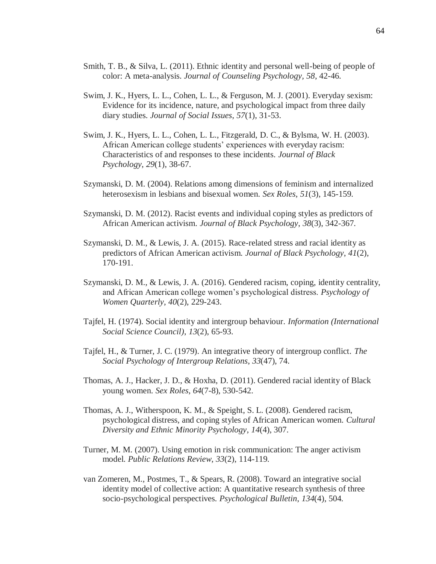- Smith, T. B., & Silva, L. (2011). Ethnic identity and personal well-being of people of color: A meta-analysis. *Journal of Counseling Psychology, 58*, 42-46.
- Swim, J. K., Hyers, L. L., Cohen, L. L., & Ferguson, M. J. (2001). Everyday sexism: Evidence for its incidence, nature, and psychological impact from three daily diary studies. *Journal of Social Issues*, *57*(1), 31-53.
- Swim, J. K., Hyers, L. L., Cohen, L. L., Fitzgerald, D. C., & Bylsma, W. H. (2003). African American college students' experiences with everyday racism: Characteristics of and responses to these incidents. *Journal of Black Psychology*, *29*(1), 38-67.
- Szymanski, D. M. (2004). Relations among dimensions of feminism and internalized heterosexism in lesbians and bisexual women. *Sex Roles*, *51*(3), 145-159.
- Szymanski, D. M. (2012). Racist events and individual coping styles as predictors of African American activism. *Journal of Black Psychology*, *38*(3), 342-367.
- Szymanski, D. M., & Lewis, J. A. (2015). Race-related stress and racial identity as predictors of African American activism. *Journal of Black Psychology*, *41*(2), 170-191.
- Szymanski, D. M., & Lewis, J. A. (2016). Gendered racism, coping, identity centrality, and African American college women's psychological distress. *Psychology of Women Quarterly*, *40*(2), 229-243.
- Tajfel, H. (1974). Social identity and intergroup behaviour. *Information (International Social Science Council)*, *13*(2), 65-93.
- Tajfel, H., & Turner, J. C. (1979). An integrative theory of intergroup conflict. *The Social Psychology of Intergroup Relations*, *33*(47), 74.
- Thomas, A. J., Hacker, J. D., & Hoxha, D. (2011). Gendered racial identity of Black young women. *Sex Roles*, *64*(7-8), 530-542.
- Thomas, A. J., Witherspoon, K. M., & Speight, S. L. (2008). Gendered racism, psychological distress, and coping styles of African American women. *Cultural Diversity and Ethnic Minority Psychology*, *14*(4), 307.
- Turner, M. M. (2007). Using emotion in risk communication: The anger activism model. *Public Relations Review*, *33*(2), 114-119.
- van Zomeren, M., Postmes, T., & Spears, R. (2008). Toward an integrative social identity model of collective action: A quantitative research synthesis of three socio-psychological perspectives. *Psychological Bulletin*, *134*(4), 504.